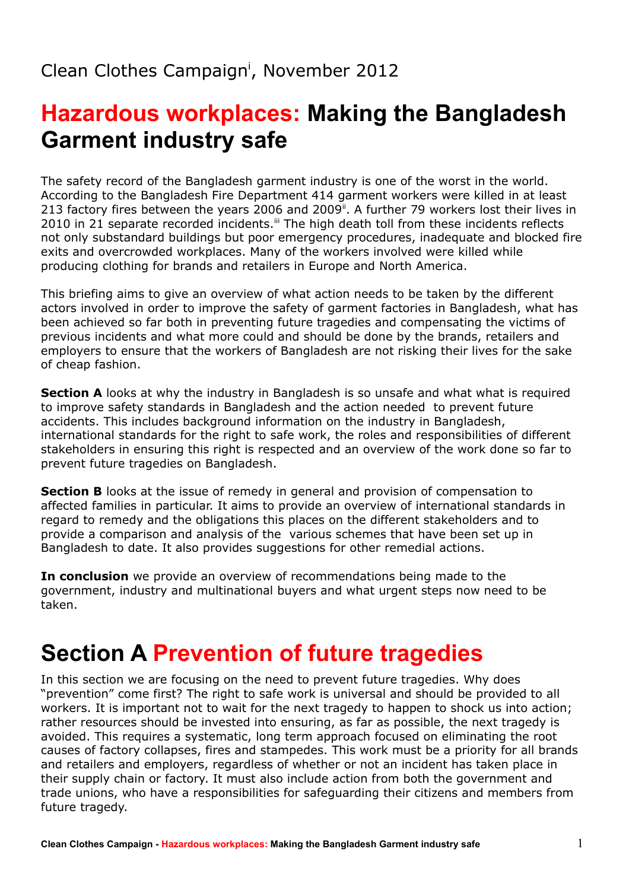# **Hazardous workplaces: Making the Bangladesh Garment industry safe**

The safety record of the Bangladesh garment industry is one of the worst in the world. According to the Bangladesh Fire Department 414 garment workers were killed in at least 213 factory fires between the years 2006 and 2009". A further 79 workers lost their lives in 2010 in 21 separate recorded incidents.<sup>[iii](#page-46-2)</sup> The high death toll from these incidents reflects not only substandard buildings but poor emergency procedures, inadequate and blocked fire exits and overcrowded workplaces. Many of the workers involved were killed while producing clothing for brands and retailers in Europe and North America.

This briefing aims to give an overview of what action needs to be taken by the different actors involved in order to improve the safety of garment factories in Bangladesh, what has been achieved so far both in preventing future tragedies and compensating the victims of previous incidents and what more could and should be done by the brands, retailers and employers to ensure that the workers of Bangladesh are not risking their lives for the sake of cheap fashion.

**Section A** looks at why the industry in Bangladesh is so unsafe and what what is required to improve safety standards in Bangladesh and the action needed to prevent future accidents. This includes background information on the industry in Bangladesh, international standards for the right to safe work, the roles and responsibilities of different stakeholders in ensuring this right is respected and an overview of the work done so far to prevent future tragedies on Bangladesh.

**Section B** looks at the issue of remedy in general and provision of compensation to affected families in particular. It aims to provide an overview of international standards in regard to remedy and the obligations this places on the different stakeholders and to provide a comparison and analysis of the various schemes that have been set up in Bangladesh to date. It also provides suggestions for other remedial actions.

**In conclusion** we provide an overview of recommendations being made to the government, industry and multinational buyers and what urgent steps now need to be taken.

# **Section A Prevention of future tragedies**

In this section we are focusing on the need to prevent future tragedies. Why does "prevention" come first? The right to safe work is universal and should be provided to all workers. It is important not to wait for the next tragedy to happen to shock us into action; rather resources should be invested into ensuring, as far as possible, the next tragedy is avoided. This requires a systematic, long term approach focused on eliminating the root causes of factory collapses, fires and stampedes. This work must be a priority for all brands and retailers and employers, regardless of whether or not an incident has taken place in their supply chain or factory. It must also include action from both the government and trade unions, who have a responsibilities for safeguarding their citizens and members from future tragedy.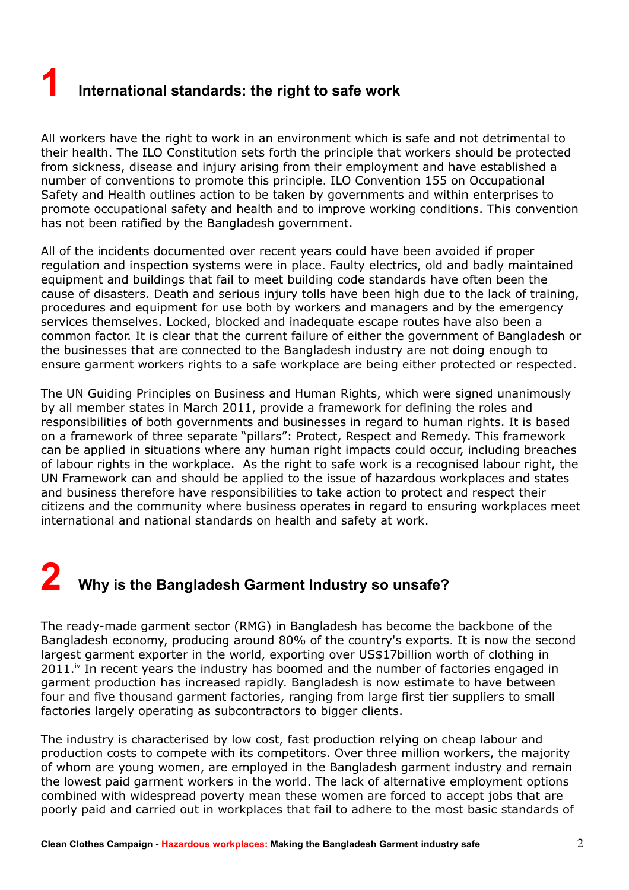# **1 International standards: the right to safe work**

All workers have the right to work in an environment which is safe and not detrimental to their health. The ILO Constitution sets forth the principle that workers should be protected from sickness, disease and injury arising from their employment and have established a number of conventions to promote this principle. ILO Convention 155 on Occupational Safety and Health outlines action to be taken by governments and within enterprises to promote occupational safety and health and to improve working conditions. This convention has not been ratified by the Bangladesh government.

All of the incidents documented over recent years could have been avoided if proper regulation and inspection systems were in place. Faulty electrics, old and badly maintained equipment and buildings that fail to meet building code standards have often been the cause of disasters. Death and serious injury tolls have been high due to the lack of training, procedures and equipment for use both by workers and managers and by the emergency services themselves. Locked, blocked and inadequate escape routes have also been a common factor. It is clear that the current failure of either the government of Bangladesh or the businesses that are connected to the Bangladesh industry are not doing enough to ensure garment workers rights to a safe workplace are being either protected or respected.

The UN Guiding Principles on Business and Human Rights, which were signed unanimously by all member states in March 2011, provide a framework for defining the roles and responsibilities of both governments and businesses in regard to human rights. It is based on a framework of three separate "pillars": Protect, Respect and Remedy. This framework can be applied in situations where any human right impacts could occur, including breaches of labour rights in the workplace. As the right to safe work is a recognised labour right, the UN Framework can and should be applied to the issue of hazardous workplaces and states and business therefore have responsibilities to take action to protect and respect their citizens and the community where business operates in regard to ensuring workplaces meet international and national standards on health and safety at work.

# **2 Why is the Bangladesh Garment Industry so unsafe?**

The ready-made garment sector (RMG) in Bangladesh has become the backbone of the Bangladesh economy, producing around 80% of the country's exports. It is now the second largest garment exporter in the world, exporting over US\$17billion worth of clothing in  $2011.^{\dot{\text{iv}}}$  $2011.^{\dot{\text{iv}}}$  $2011.^{\dot{\text{iv}}}$  In recent years the industry has boomed and the number of factories engaged in garment production has increased rapidly. Bangladesh is now estimate to have between four and five thousand garment factories, ranging from large first tier suppliers to small factories largely operating as subcontractors to bigger clients.

The industry is characterised by low cost, fast production relying on cheap labour and production costs to compete with its competitors. Over three million workers, the majority of whom are young women, are employed in the Bangladesh garment industry and remain the lowest paid garment workers in the world. The lack of alternative employment options combined with widespread poverty mean these women are forced to accept jobs that are poorly paid and carried out in workplaces that fail to adhere to the most basic standards of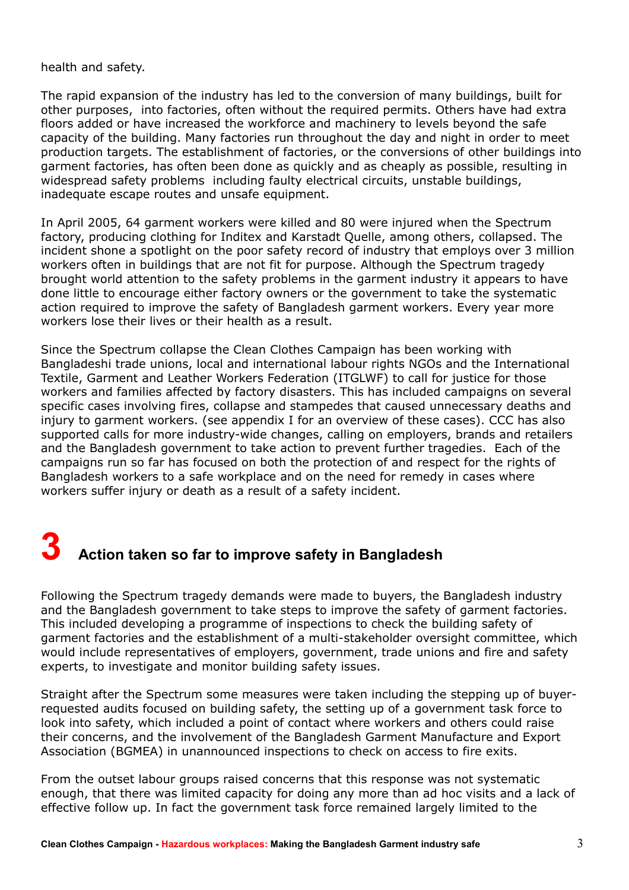health and safety.

The rapid expansion of the industry has led to the conversion of many buildings, built for other purposes, into factories, often without the required permits. Others have had extra floors added or have increased the workforce and machinery to levels beyond the safe capacity of the building. Many factories run throughout the day and night in order to meet production targets. The establishment of factories, or the conversions of other buildings into garment factories, has often been done as quickly and as cheaply as possible, resulting in widespread safety problems including faulty electrical circuits, unstable buildings, inadequate escape routes and unsafe equipment.

In April 2005, 64 garment workers were killed and 80 were injured when the Spectrum factory, producing clothing for Inditex and Karstadt Quelle, among others, collapsed. The incident shone a spotlight on the poor safety record of industry that employs over 3 million workers often in buildings that are not fit for purpose. Although the Spectrum tragedy brought world attention to the safety problems in the garment industry it appears to have done little to encourage either factory owners or the government to take the systematic action required to improve the safety of Bangladesh garment workers. Every year more workers lose their lives or their health as a result.

Since the Spectrum collapse the Clean Clothes Campaign has been working with Bangladeshi trade unions, local and international labour rights NGOs and the International Textile, Garment and Leather Workers Federation (ITGLWF) to call for justice for those workers and families affected by factory disasters. This has included campaigns on several specific cases involving fires, collapse and stampedes that caused unnecessary deaths and injury to garment workers. (see appendix I for an overview of these cases). CCC has also supported calls for more industry-wide changes, calling on employers, brands and retailers and the Bangladesh government to take action to prevent further tragedies. Each of the campaigns run so far has focused on both the protection of and respect for the rights of Bangladesh workers to a safe workplace and on the need for remedy in cases where workers suffer injury or death as a result of a safety incident.

# **3 Action taken so far to improve safety in Bangladesh**

Following the Spectrum tragedy demands were made to buyers, the Bangladesh industry and the Bangladesh government to take steps to improve the safety of garment factories. This included developing a programme of inspections to check the building safety of garment factories and the establishment of a multi-stakeholder oversight committee, which would include representatives of employers, government, trade unions and fire and safety experts, to investigate and monitor building safety issues.

Straight after the Spectrum some measures were taken including the stepping up of buyerrequested audits focused on building safety, the setting up of a government task force to look into safety, which included a point of contact where workers and others could raise their concerns, and the involvement of the Bangladesh Garment Manufacture and Export Association (BGMEA) in unannounced inspections to check on access to fire exits.

From the outset labour groups raised concerns that this response was not systematic enough, that there was limited capacity for doing any more than ad hoc visits and a lack of effective follow up. In fact the government task force remained largely limited to the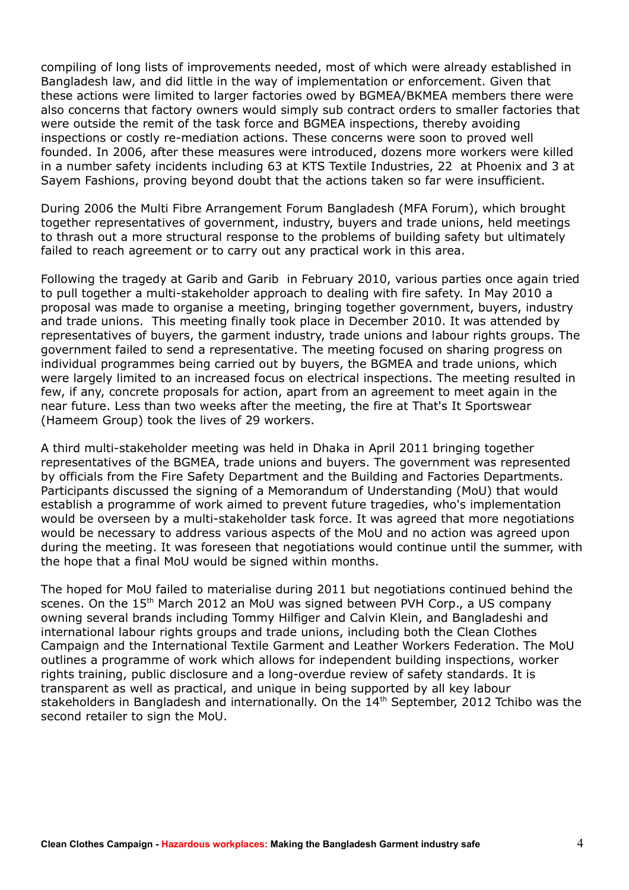compiling of long lists of improvements needed, most of which were already established in Bangladesh law, and did little in the way of implementation or enforcement. Given that these actions were limited to larger factories owed by BGMEA/BKMEA members there were also concerns that factory owners would simply sub contract orders to smaller factories that were outside the remit of the task force and BGMEA inspections, thereby avoiding inspections or costly re-mediation actions. These concerns were soon to proved well founded. In 2006, after these measures were introduced, dozens more workers were killed in a number safety incidents including 63 at KTS Textile Industries, 22 at Phoenix and 3 at Sayem Fashions, proving beyond doubt that the actions taken so far were insufficient.

During 2006 the Multi Fibre Arrangement Forum Bangladesh (MFA Forum), which brought together representatives of government, industry, buyers and trade unions, held meetings to thrash out a more structural response to the problems of building safety but ultimately failed to reach agreement or to carry out any practical work in this area.

Following the tragedy at Garib and Garib in February 2010, various parties once again tried to pull together a multi-stakeholder approach to dealing with fire safety. In May 2010 a proposal was made to organise a meeting, bringing together government, buyers, industry and trade unions. This meeting finally took place in December 2010. It was attended by representatives of buyers, the garment industry, trade unions and labour rights groups. The government failed to send a representative. The meeting focused on sharing progress on individual programmes being carried out by buyers, the BGMEA and trade unions, which were largely limited to an increased focus on electrical inspections. The meeting resulted in few, if any, concrete proposals for action, apart from an agreement to meet again in the near future. Less than two weeks after the meeting, the fire at That's It Sportswear (Hameem Group) took the lives of 29 workers.

A third multi-stakeholder meeting was held in Dhaka in April 2011 bringing together representatives of the BGMEA, trade unions and buyers. The government was represented by officials from the Fire Safety Department and the Building and Factories Departments. Participants discussed the signing of a Memorandum of Understanding (MoU) that would establish a programme of work aimed to prevent future tragedies, who's implementation would be overseen by a multi-stakeholder task force. It was agreed that more negotiations would be necessary to address various aspects of the MoU and no action was agreed upon during the meeting. It was foreseen that negotiations would continue until the summer, with the hope that a final MoU would be signed within months.

The hoped for MoU failed to materialise during 2011 but negotiations continued behind the scenes. On the 15<sup>th</sup> March 2012 an MoU was signed between PVH Corp., a US company owning several brands including Tommy Hilfiger and Calvin Klein, and Bangladeshi and international labour rights groups and trade unions, including both the Clean Clothes Campaign and the International Textile Garment and Leather Workers Federation. The MoU outlines a programme of work which allows for independent building inspections, worker rights training, public disclosure and a long-overdue review of safety standards. It is transparent as well as practical, and unique in being supported by all key labour stakeholders in Bangladesh and internationally. On the 14<sup>th</sup> September, 2012 Tchibo was the second retailer to sign the MoU.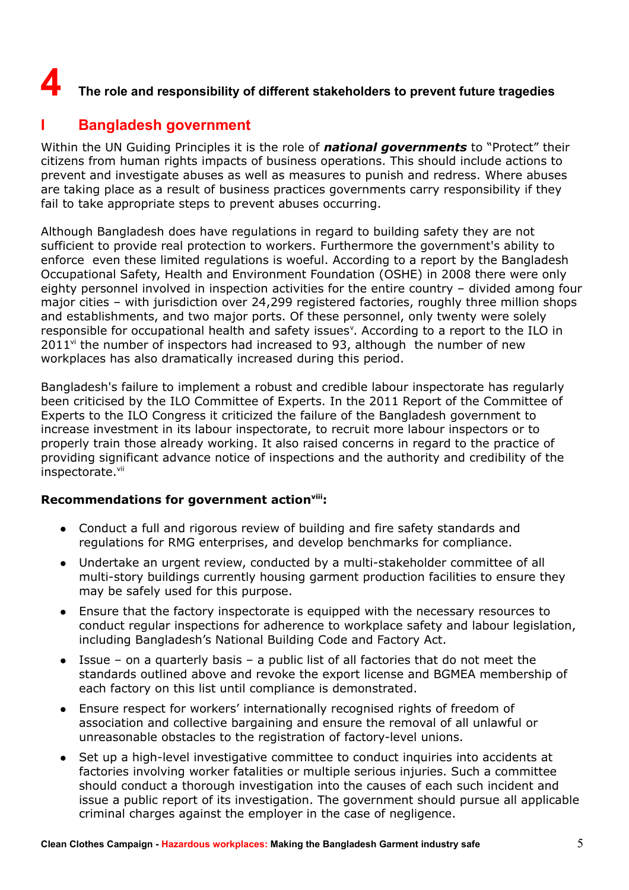# **4** The role and responsibility of different stakeholders to prevent future tragedies

# **I Bangladesh government**

Within the UN Guiding Principles it is the role of *national governments* to "Protect" their citizens from human rights impacts of business operations. This should include actions to prevent and investigate abuses as well as measures to punish and redress. Where abuses are taking place as a result of business practices governments carry responsibility if they fail to take appropriate steps to prevent abuses occurring.

Although Bangladesh does have regulations in regard to building safety they are not sufficient to provide real protection to workers. Furthermore the government's ability to enforce even these limited regulations is woeful. According to a report by the Bangladesh Occupational Safety, Health and Environment Foundation (OSHE) in 2008 there were only eighty personnel involved in inspection activities for the entire country – divided among four major cities – with jurisdiction over 24,299 registered factories, roughly three million shops and establishments, and two major ports. Of these personnel, only twenty were solely responsible for occupational health and safety issues<sup>[v](#page-46-4)</sup>. According to a report to the ILO in  $2011$ <sup>[vi](#page-46-5)</sup> the number of inspectors had increased to 93, although the number of new workplaces has also dramatically increased during this period.

Bangladesh's failure to implement a robust and credible labour inspectorate has regularly been criticised by the ILO Committee of Experts. In the 2011 Report of the Committee of Experts to the ILO Congress it criticized the failure of the Bangladesh government to increase investment in its labour inspectorate, to recruit more labour inspectors or to properly train those already working. It also raised concerns in regard to the practice of providing significant advance notice of inspections and the authority and credibility of the inspectorate.<sup>[vii](#page-46-6)</sup>

#### **Recommendations for government action[viii](#page-46-7):**

- Conduct a full and rigorous review of building and fire safety standards and regulations for RMG enterprises, and develop benchmarks for compliance.
- Undertake an urgent review, conducted by a multi-stakeholder committee of all multi-story buildings currently housing garment production facilities to ensure they may be safely used for this purpose.
- Ensure that the factory inspectorate is equipped with the necessary resources to conduct regular inspections for adherence to workplace safety and labour legislation, including Bangladesh's National Building Code and Factory Act.
- Issue on a quarterly basis a public list of all factories that do not meet the standards outlined above and revoke the export license and BGMEA membership of each factory on this list until compliance is demonstrated.
- Ensure respect for workers' internationally recognised rights of freedom of association and collective bargaining and ensure the removal of all unlawful or unreasonable obstacles to the registration of factory-level unions.
- Set up a high-level investigative committee to conduct inquiries into accidents at factories involving worker fatalities or multiple serious injuries. Such a committee should conduct a thorough investigation into the causes of each such incident and issue a public report of its investigation. The government should pursue all applicable criminal charges against the employer in the case of negligence.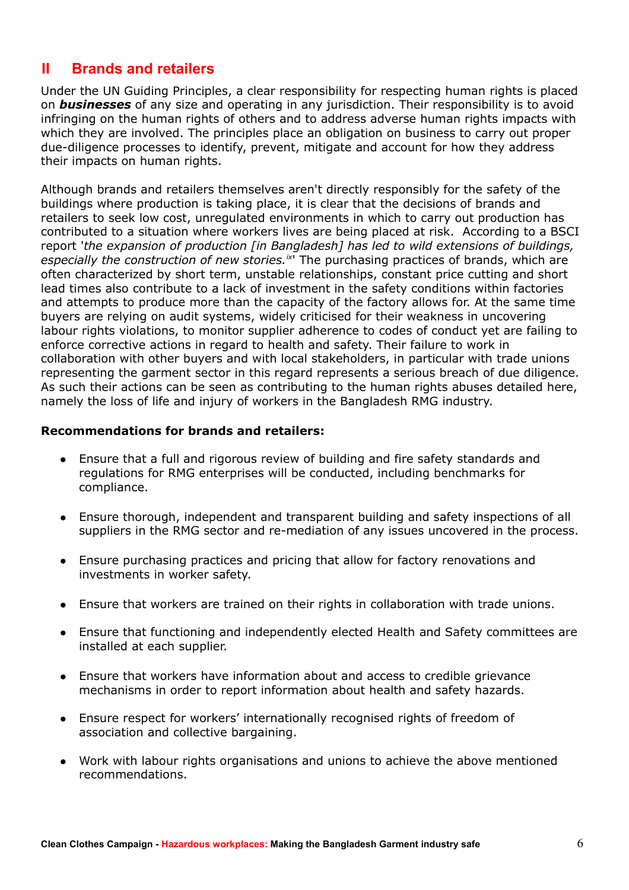## **II Brands and retailers**

Under the UN Guiding Principles, a clear responsibility for respecting human rights is placed on *businesses* of any size and operating in any jurisdiction. Their responsibility is to avoid infringing on the human rights of others and to address adverse human rights impacts with which they are involved. The principles place an obligation on business to carry out proper due-diligence processes to identify, prevent, mitigate and account for how they address their impacts on human rights.

Although brands and retailers themselves aren't directly responsibly for the safety of the buildings where production is taking place, it is clear that the decisions of brands and retailers to seek low cost, unregulated environments in which to carry out production has contributed to a situation where workers lives are being placed at risk. According to a BSCI report '*the expansion of production [in Bangladesh] has led to wild extensions of buildings, especially the construction of new stories.[ix](#page-46-8)*' The purchasing practices of brands, which are often characterized by short term, unstable relationships, constant price cutting and short lead times also contribute to a lack of investment in the safety conditions within factories and attempts to produce more than the capacity of the factory allows for. At the same time buyers are relying on audit systems, widely criticised for their weakness in uncovering labour rights violations, to monitor supplier adherence to codes of conduct yet are failing to enforce corrective actions in regard to health and safety. Their failure to work in collaboration with other buyers and with local stakeholders, in particular with trade unions representing the garment sector in this regard represents a serious breach of due diligence. As such their actions can be seen as contributing to the human rights abuses detailed here, namely the loss of life and injury of workers in the Bangladesh RMG industry.

#### **Recommendations for brands and retailers:**

- Ensure that a full and rigorous review of building and fire safety standards and regulations for RMG enterprises will be conducted, including benchmarks for compliance.
- Ensure thorough, independent and transparent building and safety inspections of all suppliers in the RMG sector and re-mediation of any issues uncovered in the process.
- Ensure purchasing practices and pricing that allow for factory renovations and investments in worker safety.
- Ensure that workers are trained on their rights in collaboration with trade unions.
- Ensure that functioning and independently elected Health and Safety committees are installed at each supplier.
- Ensure that workers have information about and access to credible grievance mechanisms in order to report information about health and safety hazards.
- Ensure respect for workers' internationally recognised rights of freedom of association and collective bargaining.
- Work with labour rights organisations and unions to achieve the above mentioned recommendations.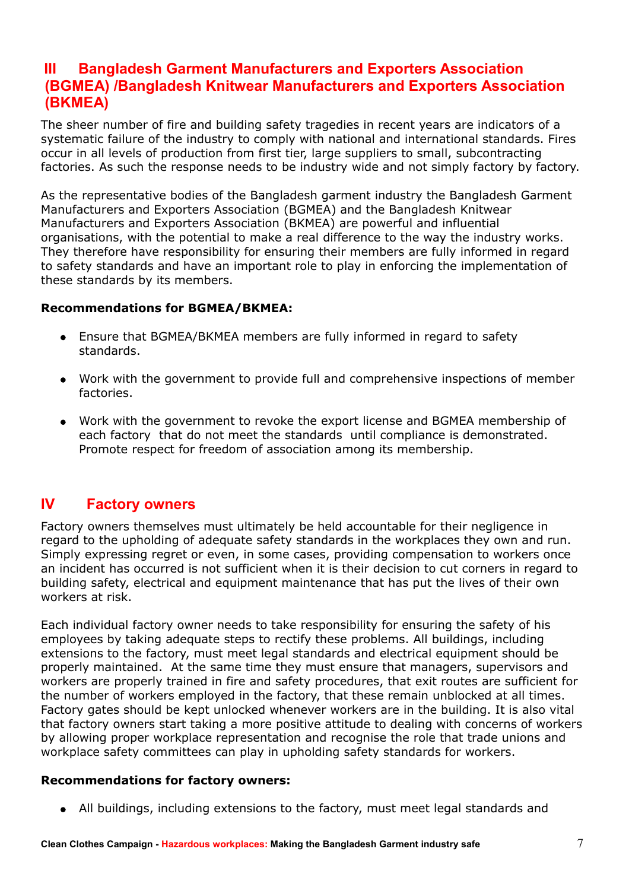## **III Bangladesh Garment Manufacturers and Exporters Association (BGMEA) /Bangladesh Knitwear Manufacturers and Exporters Association (BKMEA)**

The sheer number of fire and building safety tragedies in recent years are indicators of a systematic failure of the industry to comply with national and international standards. Fires occur in all levels of production from first tier, large suppliers to small, subcontracting factories. As such the response needs to be industry wide and not simply factory by factory.

As the representative bodies of the Bangladesh garment industry the Bangladesh Garment Manufacturers and Exporters Association (BGMEA) and the Bangladesh Knitwear Manufacturers and Exporters Association (BKMEA) are powerful and influential organisations, with the potential to make a real difference to the way the industry works. They therefore have responsibility for ensuring their members are fully informed in regard to safety standards and have an important role to play in enforcing the implementation of these standards by its members.

#### **Recommendations for BGMEA/BKMEA:**

- Ensure that BGMEA/BKMEA members are fully informed in regard to safety standards.
- Work with the government to provide full and comprehensive inspections of member factories.
- Work with the government to revoke the export license and BGMEA membership of each factory that do not meet the standards until compliance is demonstrated. Promote respect for freedom of association among its membership.

### **IV Factory owners**

Factory owners themselves must ultimately be held accountable for their negligence in regard to the upholding of adequate safety standards in the workplaces they own and run. Simply expressing regret or even, in some cases, providing compensation to workers once an incident has occurred is not sufficient when it is their decision to cut corners in regard to building safety, electrical and equipment maintenance that has put the lives of their own workers at risk.

Each individual factory owner needs to take responsibility for ensuring the safety of his employees by taking adequate steps to rectify these problems. All buildings, including extensions to the factory, must meet legal standards and electrical equipment should be properly maintained. At the same time they must ensure that managers, supervisors and workers are properly trained in fire and safety procedures, that exit routes are sufficient for the number of workers employed in the factory, that these remain unblocked at all times. Factory gates should be kept unlocked whenever workers are in the building. It is also vital that factory owners start taking a more positive attitude to dealing with concerns of workers by allowing proper workplace representation and recognise the role that trade unions and workplace safety committees can play in upholding safety standards for workers.

#### **Recommendations for factory owners:**

All buildings, including extensions to the factory, must meet legal standards and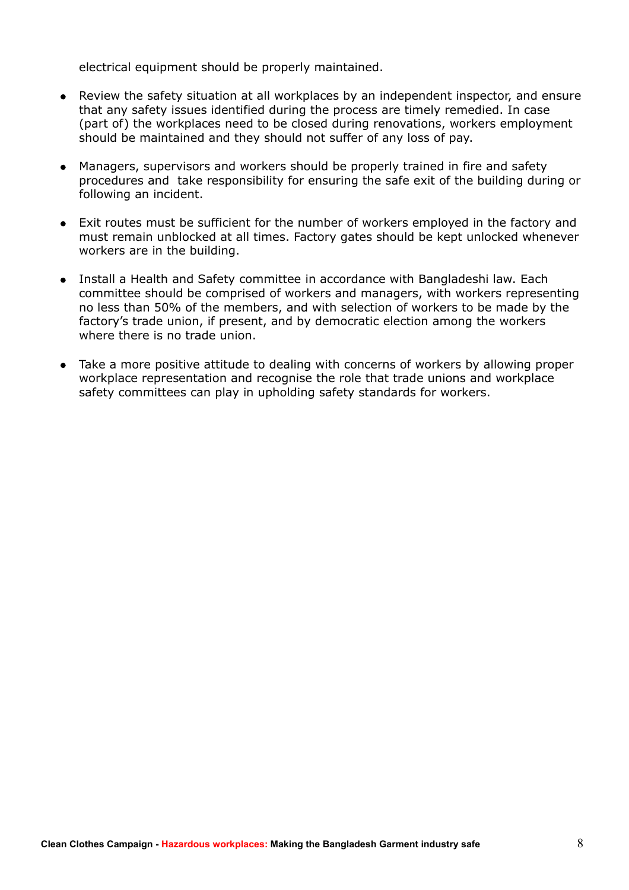electrical equipment should be properly maintained.

- Review the safety situation at all workplaces by an independent inspector, and ensure that any safety issues identified during the process are timely remedied. In case (part of) the workplaces need to be closed during renovations, workers employment should be maintained and they should not suffer of any loss of pay.
- Managers, supervisors and workers should be properly trained in fire and safety procedures and take responsibility for ensuring the safe exit of the building during or following an incident.
- Exit routes must be sufficient for the number of workers employed in the factory and must remain unblocked at all times. Factory gates should be kept unlocked whenever workers are in the building.
- Install a Health and Safety committee in accordance with Bangladeshi law. Each committee should be comprised of workers and managers, with workers representing no less than 50% of the members, and with selection of workers to be made by the factory's trade union, if present, and by democratic election among the workers where there is no trade union.
- Take a more positive attitude to dealing with concerns of workers by allowing proper workplace representation and recognise the role that trade unions and workplace safety committees can play in upholding safety standards for workers.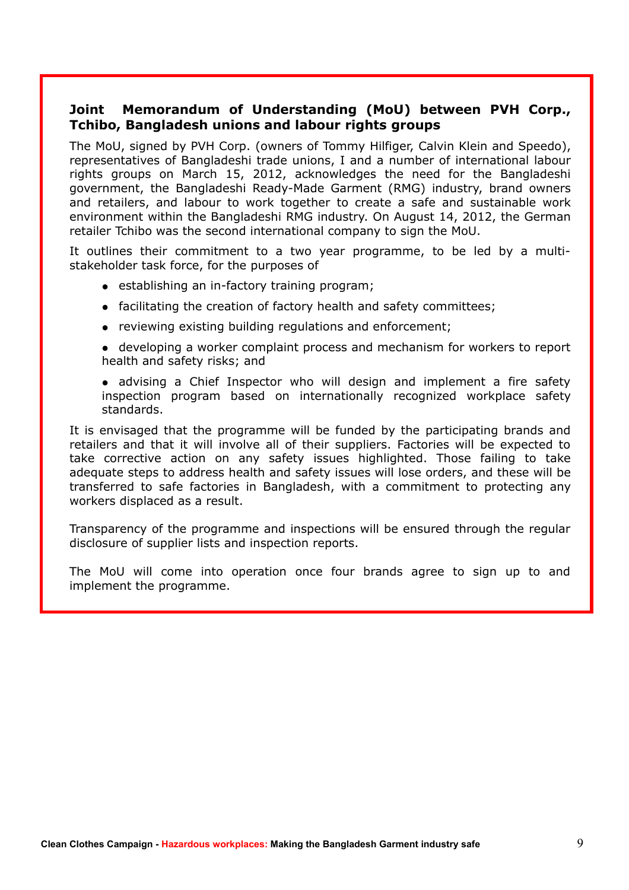#### **Joint Memorandum of Understanding (MoU) between PVH Corp., Tchibo, Bangladesh unions and labour rights groups**

The MoU, signed by PVH Corp. (owners of Tommy Hilfiger, Calvin Klein and Speedo), representatives of Bangladeshi trade unions, I and a number of international labour rights groups on March 15, 2012, acknowledges the need for the Bangladeshi government, the Bangladeshi Ready-Made Garment (RMG) industry, brand owners and retailers, and labour to work together to create a safe and sustainable work environment within the Bangladeshi RMG industry. On August 14, 2012, the German retailer Tchibo was the second international company to sign the MoU.

It outlines their commitment to a two year programme, to be led by a multistakeholder task force, for the purposes of

- establishing an in-factory training program;
- facilitating the creation of factory health and safety committees;
- reviewing existing building regulations and enforcement;

 developing a worker complaint process and mechanism for workers to report health and safety risks; and

 advising a Chief Inspector who will design and implement a fire safety inspection program based on internationally recognized workplace safety standards.

It is envisaged that the programme will be funded by the participating brands and retailers and that it will involve all of their suppliers. Factories will be expected to take corrective action on any safety issues highlighted. Those failing to take adequate steps to address health and safety issues will lose orders, and these will be transferred to safe factories in Bangladesh, with a commitment to protecting any workers displaced as a result.

Transparency of the programme and inspections will be ensured through the regular disclosure of supplier lists and inspection reports.

The MoU will come into operation once four brands agree to sign up to and implement the programme.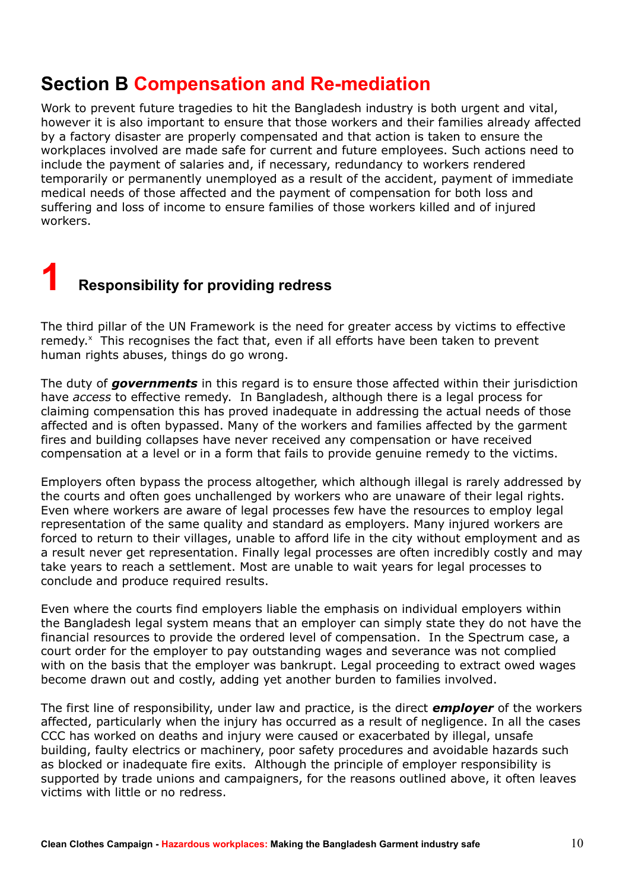# **Section B Compensation and Re-mediation**

Work to prevent future tragedies to hit the Bangladesh industry is both urgent and vital, however it is also important to ensure that those workers and their families already affected by a factory disaster are properly compensated and that action is taken to ensure the workplaces involved are made safe for current and future employees. Such actions need to include the payment of salaries and, if necessary, redundancy to workers rendered temporarily or permanently unemployed as a result of the accident, payment of immediate medical needs of those affected and the payment of compensation for both loss and suffering and loss of income to ensure families of those workers killed and of injured workers.

# **1 Responsibility for providing redress**

The third pillar of the UN Framework is the need for greater access by victims to effective remedy.<sup>[x](#page-46-9)</sup> This recognises the fact that, even if all efforts have been taken to prevent human rights abuses, things do go wrong.

The duty of *governments* in this regard is to ensure those affected within their jurisdiction have *access* to effective remedy. In Bangladesh, although there is a legal process for claiming compensation this has proved inadequate in addressing the actual needs of those affected and is often bypassed. Many of the workers and families affected by the garment fires and building collapses have never received any compensation or have received compensation at a level or in a form that fails to provide genuine remedy to the victims.

Employers often bypass the process altogether, which although illegal is rarely addressed by the courts and often goes unchallenged by workers who are unaware of their legal rights. Even where workers are aware of legal processes few have the resources to employ legal representation of the same quality and standard as employers. Many injured workers are forced to return to their villages, unable to afford life in the city without employment and as a result never get representation. Finally legal processes are often incredibly costly and may take years to reach a settlement. Most are unable to wait years for legal processes to conclude and produce required results.

Even where the courts find employers liable the emphasis on individual employers within the Bangladesh legal system means that an employer can simply state they do not have the financial resources to provide the ordered level of compensation. In the Spectrum case, a court order for the employer to pay outstanding wages and severance was not complied with on the basis that the employer was bankrupt. Legal proceeding to extract owed wages become drawn out and costly, adding yet another burden to families involved.

The first line of responsibility, under law and practice, is the direct *employer* of the workers affected, particularly when the injury has occurred as a result of negligence. In all the cases CCC has worked on deaths and injury were caused or exacerbated by illegal, unsafe building, faulty electrics or machinery, poor safety procedures and avoidable hazards such as blocked or inadequate fire exits. Although the principle of employer responsibility is supported by trade unions and campaigners, for the reasons outlined above, it often leaves victims with little or no redress.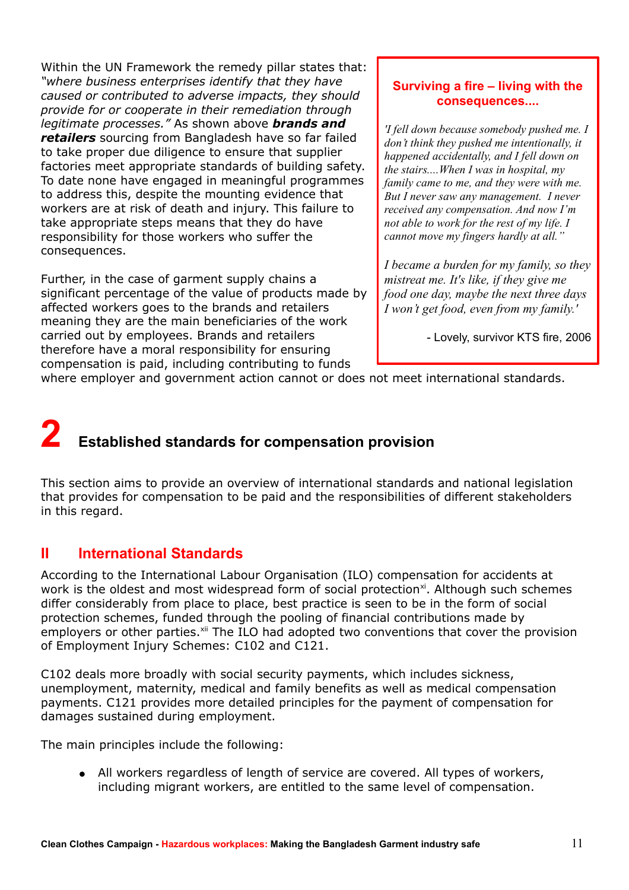Within the UN Framework the remedy pillar states that: *"where business enterprises identify that they have caused or contributed to adverse impacts, they should provide for or cooperate in their remediation through legitimate processes."* As shown above *brands and retailers* sourcing from Bangladesh have so far failed to take proper due diligence to ensure that supplier factories meet appropriate standards of building safety. To date none have engaged in meaningful programmes to address this, despite the mounting evidence that workers are at risk of death and injury. This failure to take appropriate steps means that they do have responsibility for those workers who suffer the consequences.

Further, in the case of garment supply chains a significant percentage of the value of products made by affected workers goes to the brands and retailers meaning they are the main beneficiaries of the work carried out by employees. Brands and retailers therefore have a moral responsibility for ensuring compensation is paid, including contributing to funds

#### **Surviving a fire – living with the consequences....**

*'I fell down because somebody pushed me. I don't think they pushed me intentionally, it happened accidentally, and I fell down on the stairs....When I was in hospital, my family came to me, and they were with me. But I never saw any management. I never received any compensation. And now I'm not able to work for the rest of my life. I cannot move my fingers hardly at all."*

*I became a burden for my family, so they mistreat me. It's like, if they give me food one day, maybe the next three days I won't get food, even from my family.'*

- Lovely, survivor KTS fire, 2006

where employer and government action cannot or does not meet international standards.

# **2 Established standards for compensation provision**

This section aims to provide an overview of international standards and national legislation that provides for compensation to be paid and the responsibilities of different stakeholders in this regard.

### **II International Standards**

According to the International Labour Organisation (ILO) compensation for accidents at work is the oldest and most widespread form of social protection<sup>[xi](#page-46-10)</sup>. Although such schemes differ considerably from place to place, best practice is seen to be in the form of social protection schemes, funded through the pooling of financial contributions made by employers or other parties.<sup>[xii](#page-46-11)</sup> The ILO had adopted two conventions that cover the provision of Employment Injury Schemes: C102 and C121.

C102 deals more broadly with social security payments, which includes sickness, unemployment, maternity, medical and family benefits as well as medical compensation payments. C121 provides more detailed principles for the payment of compensation for damages sustained during employment.

The main principles include the following:

 All workers regardless of length of service are covered. All types of workers, including migrant workers, are entitled to the same level of compensation.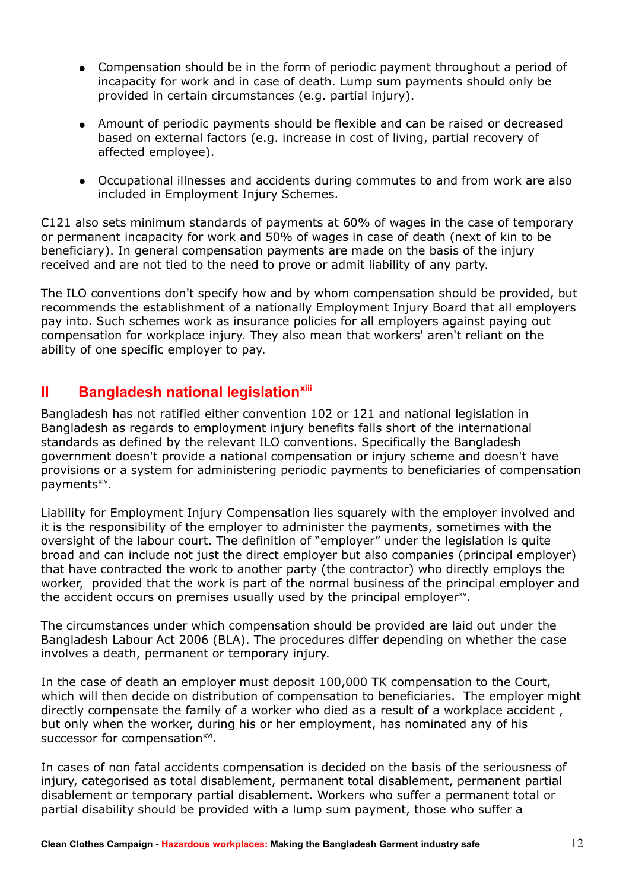- Compensation should be in the form of periodic payment throughout a period of incapacity for work and in case of death. Lump sum payments should only be provided in certain circumstances (e.g. partial injury).
- Amount of periodic payments should be flexible and can be raised or decreased based on external factors (e.g. increase in cost of living, partial recovery of affected employee).
- Occupational illnesses and accidents during commutes to and from work are also included in Employment Injury Schemes.

C121 also sets minimum standards of payments at 60% of wages in the case of temporary or permanent incapacity for work and 50% of wages in case of death (next of kin to be beneficiary). In general compensation payments are made on the basis of the injury received and are not tied to the need to prove or admit liability of any party.

The ILO conventions don't specify how and by whom compensation should be provided, but recommends the establishment of a nationally Employment Injury Board that all employers pay into. Such schemes work as insurance policies for all employers against paying out compensation for workplace injury. They also mean that workers' aren't reliant on the ability of one specific employer to pay.

# **II Bangladesh national legislation[xiii](#page-46-12)**

Bangladesh has not ratified either convention 102 or 121 and national legislation in Bangladesh as regards to employment injury benefits falls short of the international standards as defined by the relevant ILO conventions. Specifically the Bangladesh government doesn't provide a national compensation or injury scheme and doesn't have provisions or a system for administering periodic payments to beneficiaries of compensation payments<sup>[xiv](#page-46-13)</sup>.

Liability for Employment Injury Compensation lies squarely with the employer involved and it is the responsibility of the employer to administer the payments, sometimes with the oversight of the labour court. The definition of "employer" under the legislation is quite broad and can include not just the direct employer but also companies (principal employer) that have contracted the work to another party (the contractor) who directly employs the worker, provided that the work is part of the normal business of the principal employer and the accident occurs on premises usually used by the principal employer<sup>[xv](#page-46-14)</sup>.

The circumstances under which compensation should be provided are laid out under the Bangladesh Labour Act 2006 (BLA). The procedures differ depending on whether the case involves a death, permanent or temporary injury.

In the case of death an employer must deposit 100,000 TK compensation to the Court, which will then decide on distribution of compensation to beneficiaries. The employer might directly compensate the family of a worker who died as a result of a workplace accident , but only when the worker, during his or her employment, has nominated any of his successor for compensation<sup>[xvi](#page-46-15)</sup>.

In cases of non fatal accidents compensation is decided on the basis of the seriousness of injury, categorised as total disablement, permanent total disablement, permanent partial disablement or temporary partial disablement. Workers who suffer a permanent total or partial disability should be provided with a lump sum payment, those who suffer a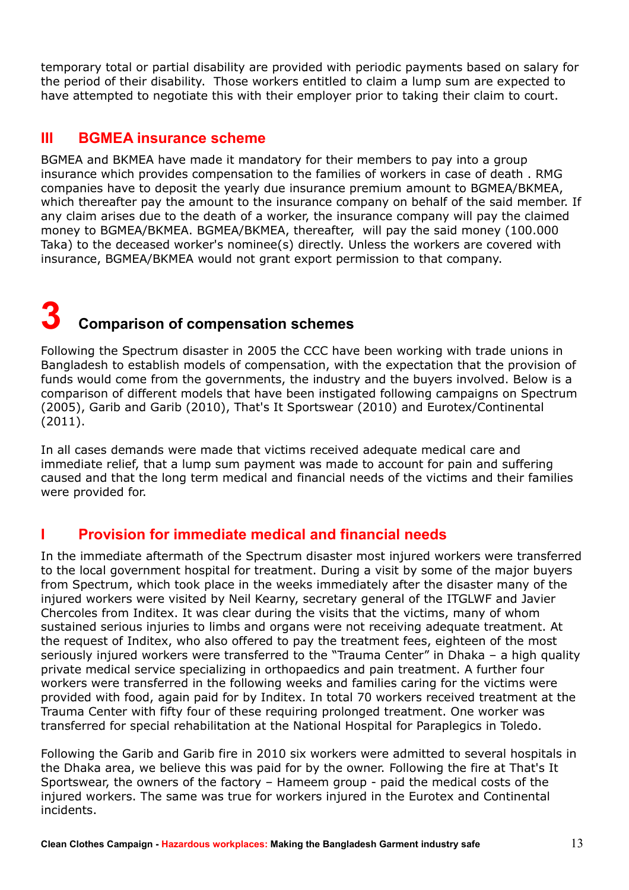temporary total or partial disability are provided with periodic payments based on salary for the period of their disability. Those workers entitled to claim a lump sum are expected to have attempted to negotiate this with their employer prior to taking their claim to court.

### **III BGMEA insurance scheme**

BGMEA and BKMEA have made it mandatory for their members to pay into a group insurance which provides compensation to the families of workers in case of death . RMG companies have to deposit the yearly due insurance premium amount to BGMEA/BKMEA, which thereafter pay the amount to the insurance company on behalf of the said member. If any claim arises due to the death of a worker, the insurance company will pay the claimed money to BGMEA/BKMEA. BGMEA/BKMEA, thereafter, will pay the said money (100.000 Taka) to the deceased worker's nominee(s) directly. Unless the workers are covered with insurance, BGMEA/BKMEA would not grant export permission to that company.

# **3 Comparison of compensation schemes**

Following the Spectrum disaster in 2005 the CCC have been working with trade unions in Bangladesh to establish models of compensation, with the expectation that the provision of funds would come from the governments, the industry and the buyers involved. Below is a comparison of different models that have been instigated following campaigns on Spectrum (2005), Garib and Garib (2010), That's It Sportswear (2010) and Eurotex/Continental (2011).

In all cases demands were made that victims received adequate medical care and immediate relief, that a lump sum payment was made to account for pain and suffering caused and that the long term medical and financial needs of the victims and their families were provided for.

## **I Provision for immediate medical and financial needs**

In the immediate aftermath of the Spectrum disaster most injured workers were transferred to the local government hospital for treatment. During a visit by some of the major buyers from Spectrum, which took place in the weeks immediately after the disaster many of the injured workers were visited by Neil Kearny, secretary general of the ITGLWF and Javier Chercoles from Inditex. It was clear during the visits that the victims, many of whom sustained serious injuries to limbs and organs were not receiving adequate treatment. At the request of Inditex, who also offered to pay the treatment fees, eighteen of the most seriously injured workers were transferred to the "Trauma Center" in Dhaka – a high quality private medical service specializing in orthopaedics and pain treatment. A further four workers were transferred in the following weeks and families caring for the victims were provided with food, again paid for by Inditex. In total 70 workers received treatment at the Trauma Center with fifty four of these requiring prolonged treatment. One worker was transferred for special rehabilitation at the National Hospital for Paraplegics in Toledo.

Following the Garib and Garib fire in 2010 six workers were admitted to several hospitals in the Dhaka area, we believe this was paid for by the owner. Following the fire at That's It Sportswear, the owners of the factory – Hameem group - paid the medical costs of the injured workers. The same was true for workers injured in the Eurotex and Continental incidents.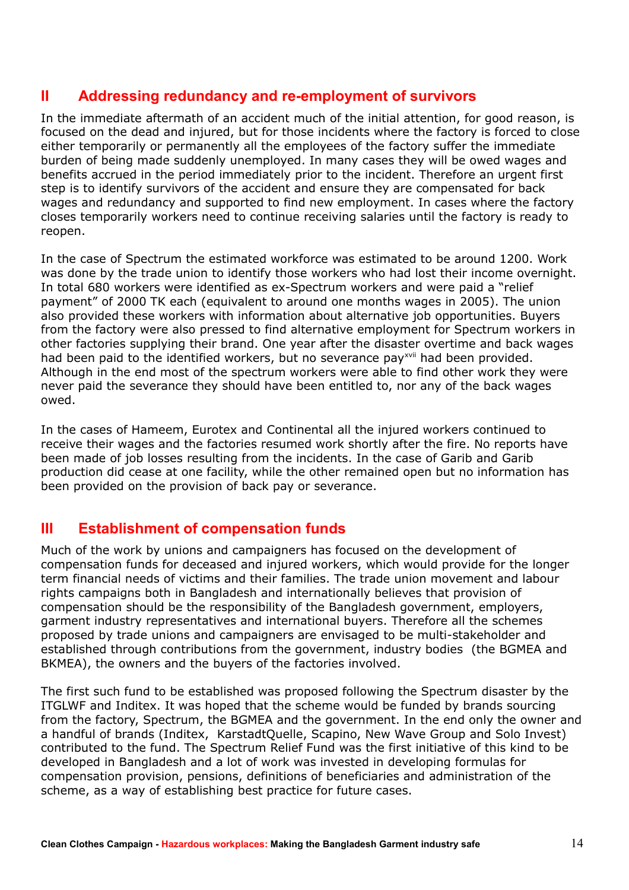### **II Addressing redundancy and re-employment of survivors**

In the immediate aftermath of an accident much of the initial attention, for good reason, is focused on the dead and injured, but for those incidents where the factory is forced to close either temporarily or permanently all the employees of the factory suffer the immediate burden of being made suddenly unemployed. In many cases they will be owed wages and benefits accrued in the period immediately prior to the incident. Therefore an urgent first step is to identify survivors of the accident and ensure they are compensated for back wages and redundancy and supported to find new employment. In cases where the factory closes temporarily workers need to continue receiving salaries until the factory is ready to reopen.

In the case of Spectrum the estimated workforce was estimated to be around 1200. Work was done by the trade union to identify those workers who had lost their income overnight. In total 680 workers were identified as ex-Spectrum workers and were paid a "relief payment" of 2000 TK each (equivalent to around one months wages in 2005). The union also provided these workers with information about alternative job opportunities. Buyers from the factory were also pressed to find alternative employment for Spectrum workers in other factories supplying their brand. One year after the disaster overtime and back wages had been paid to the identified workers, but no severance pay<sup>[xvii](#page-46-16)</sup> had been provided. Although in the end most of the spectrum workers were able to find other work they were never paid the severance they should have been entitled to, nor any of the back wages owed.

In the cases of Hameem, Eurotex and Continental all the injured workers continued to receive their wages and the factories resumed work shortly after the fire. No reports have been made of job losses resulting from the incidents. In the case of Garib and Garib production did cease at one facility, while the other remained open but no information has been provided on the provision of back pay or severance.

## **III Establishment of compensation funds**

Much of the work by unions and campaigners has focused on the development of compensation funds for deceased and injured workers, which would provide for the longer term financial needs of victims and their families. The trade union movement and labour rights campaigns both in Bangladesh and internationally believes that provision of compensation should be the responsibility of the Bangladesh government, employers, garment industry representatives and international buyers. Therefore all the schemes proposed by trade unions and campaigners are envisaged to be multi-stakeholder and established through contributions from the government, industry bodies (the BGMEA and BKMEA), the owners and the buyers of the factories involved.

The first such fund to be established was proposed following the Spectrum disaster by the ITGLWF and Inditex. It was hoped that the scheme would be funded by brands sourcing from the factory, Spectrum, the BGMEA and the government. In the end only the owner and a handful of brands (Inditex, KarstadtQuelle, Scapino, New Wave Group and Solo Invest) contributed to the fund. The Spectrum Relief Fund was the first initiative of this kind to be developed in Bangladesh and a lot of work was invested in developing formulas for compensation provision, pensions, definitions of beneficiaries and administration of the scheme, as a way of establishing best practice for future cases.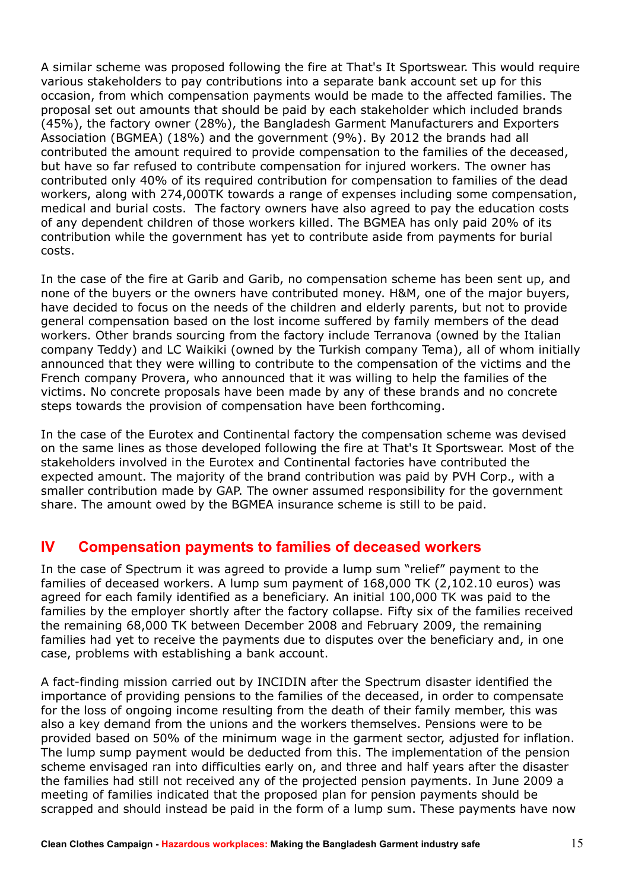A similar scheme was proposed following the fire at That's It Sportswear. This would require various stakeholders to pay contributions into a separate bank account set up for this occasion, from which compensation payments would be made to the affected families. The proposal set out amounts that should be paid by each stakeholder which included brands (45%), the factory owner (28%), the Bangladesh Garment Manufacturers and Exporters Association (BGMEA) (18%) and the government (9%). By 2012 the brands had all contributed the amount required to provide compensation to the families of the deceased, but have so far refused to contribute compensation for injured workers. The owner has contributed only 40% of its required contribution for compensation to families of the dead workers, along with 274,000TK towards a range of expenses including some compensation, medical and burial costs. The factory owners have also agreed to pay the education costs of any dependent children of those workers killed. The BGMEA has only paid 20% of its contribution while the government has yet to contribute aside from payments for burial costs.

In the case of the fire at Garib and Garib, no compensation scheme has been sent up, and none of the buyers or the owners have contributed money. H&M, one of the major buyers, have decided to focus on the needs of the children and elderly parents, but not to provide general compensation based on the lost income suffered by family members of the dead workers. Other brands sourcing from the factory include Terranova (owned by the Italian company Teddy) and LC Waikiki (owned by the Turkish company Tema), all of whom initially announced that they were willing to contribute to the compensation of the victims and the French company Provera, who announced that it was willing to help the families of the victims. No concrete proposals have been made by any of these brands and no concrete steps towards the provision of compensation have been forthcoming.

In the case of the Eurotex and Continental factory the compensation scheme was devised on the same lines as those developed following the fire at That's It Sportswear. Most of the stakeholders involved in the Eurotex and Continental factories have contributed the expected amount. The majority of the brand contribution was paid by PVH Corp., with a smaller contribution made by GAP. The owner assumed responsibility for the government share. The amount owed by the BGMEA insurance scheme is still to be paid.

## **IV Compensation payments to families of deceased workers**

In the case of Spectrum it was agreed to provide a lump sum "relief" payment to the families of deceased workers. A lump sum payment of 168,000 TK (2,102.10 euros) was agreed for each family identified as a beneficiary. An initial 100,000 TK was paid to the families by the employer shortly after the factory collapse. Fifty six of the families received the remaining 68,000 TK between December 2008 and February 2009, the remaining families had yet to receive the payments due to disputes over the beneficiary and, in one case, problems with establishing a bank account.

A fact-finding mission carried out by INCIDIN after the Spectrum disaster identified the importance of providing pensions to the families of the deceased, in order to compensate for the loss of ongoing income resulting from the death of their family member, this was also a key demand from the unions and the workers themselves. Pensions were to be provided based on 50% of the minimum wage in the garment sector, adjusted for inflation. The lump sump payment would be deducted from this. The implementation of the pension scheme envisaged ran into difficulties early on, and three and half years after the disaster the families had still not received any of the projected pension payments. In June 2009 a meeting of families indicated that the proposed plan for pension payments should be scrapped and should instead be paid in the form of a lump sum. These payments have now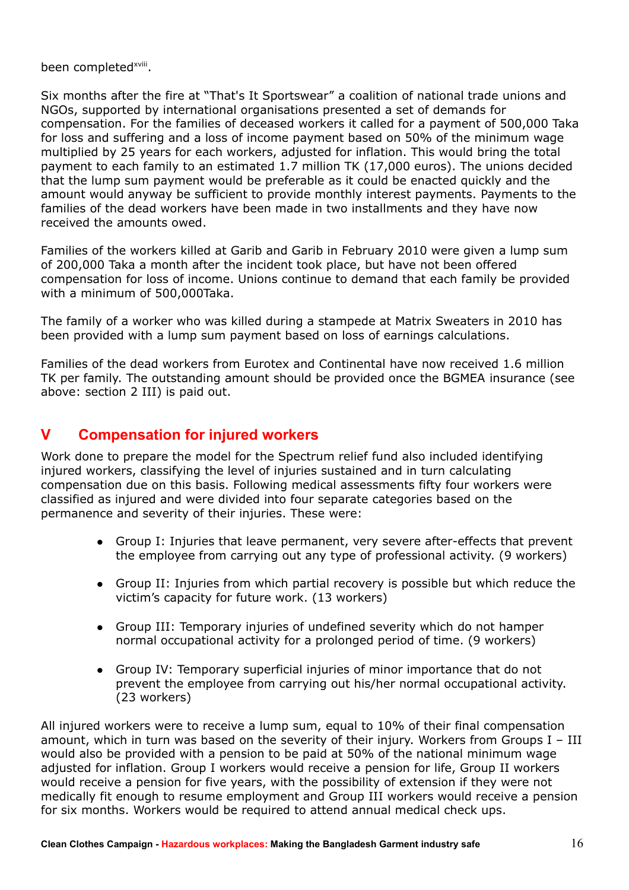been completed<sup>[xviii](#page-46-17)</sup>.

Six months after the fire at "That's It Sportswear" a coalition of national trade unions and NGOs, supported by international organisations presented a set of demands for compensation. For the families of deceased workers it called for a payment of 500,000 Taka for loss and suffering and a loss of income payment based on 50% of the minimum wage multiplied by 25 years for each workers, adjusted for inflation. This would bring the total payment to each family to an estimated 1.7 million TK (17,000 euros). The unions decided that the lump sum payment would be preferable as it could be enacted quickly and the amount would anyway be sufficient to provide monthly interest payments. Payments to the families of the dead workers have been made in two installments and they have now received the amounts owed.

Families of the workers killed at Garib and Garib in February 2010 were given a lump sum of 200,000 Taka a month after the incident took place, but have not been offered compensation for loss of income. Unions continue to demand that each family be provided with a minimum of 500,000Taka.

The family of a worker who was killed during a stampede at Matrix Sweaters in 2010 has been provided with a lump sum payment based on loss of earnings calculations.

Families of the dead workers from Eurotex and Continental have now received 1.6 million TK per family. The outstanding amount should be provided once the BGMEA insurance (see above: section 2 III) is paid out.

# **V Compensation for injured workers**

Work done to prepare the model for the Spectrum relief fund also included identifying injured workers, classifying the level of injuries sustained and in turn calculating compensation due on this basis. Following medical assessments fifty four workers were classified as injured and were divided into four separate categories based on the permanence and severity of their injuries. These were:

- Group I: Injuries that leave permanent, very severe after-effects that prevent the employee from carrying out any type of professional activity. (9 workers)
- Group II: Injuries from which partial recovery is possible but which reduce the victim's capacity for future work. (13 workers)
- Group III: Temporary injuries of undefined severity which do not hamper normal occupational activity for a prolonged period of time. (9 workers)
- Group IV: Temporary superficial injuries of minor importance that do not prevent the employee from carrying out his/her normal occupational activity. (23 workers)

All injured workers were to receive a lump sum, equal to 10% of their final compensation amount, which in turn was based on the severity of their injury. Workers from Groups I – III would also be provided with a pension to be paid at 50% of the national minimum wage adjusted for inflation. Group I workers would receive a pension for life, Group II workers would receive a pension for five years, with the possibility of extension if they were not medically fit enough to resume employment and Group III workers would receive a pension for six months. Workers would be required to attend annual medical check ups.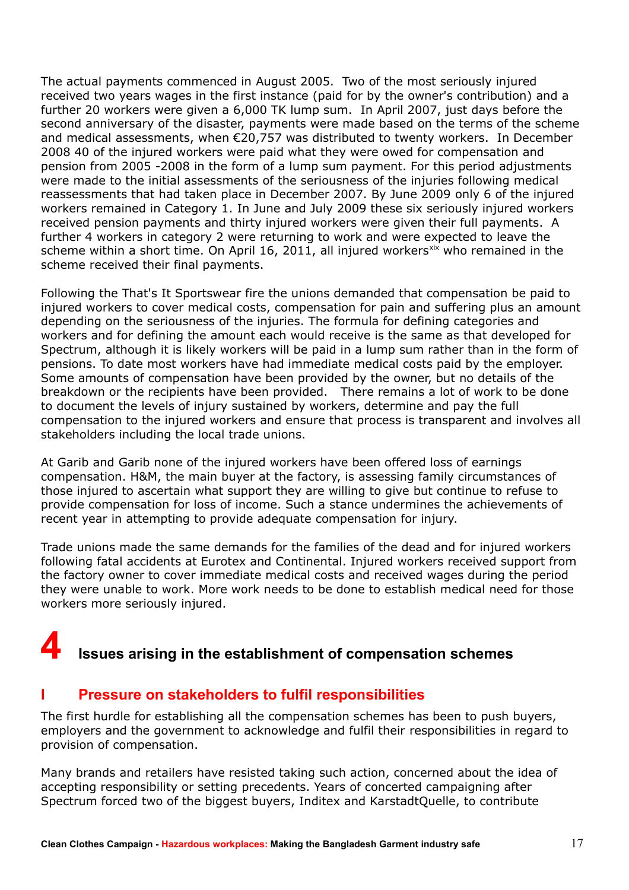The actual payments commenced in August 2005. Two of the most seriously injured received two years wages in the first instance (paid for by the owner's contribution) and a further 20 workers were given a 6,000 TK lump sum. In April 2007, just days before the second anniversary of the disaster, payments were made based on the terms of the scheme and medical assessments, when €20,757 was distributed to twenty workers. In December 2008 40 of the injured workers were paid what they were owed for compensation and pension from 2005 -2008 in the form of a lump sum payment. For this period adjustments were made to the initial assessments of the seriousness of the injuries following medical reassessments that had taken place in December 2007. By June 2009 only 6 of the injured workers remained in Category 1. In June and July 2009 these six seriously injured workers received pension payments and thirty injured workers were given their full payments. A further 4 workers in category 2 were returning to work and were expected to leave the scheme within a short time. On April 16, 2011, all injured workers<sup>[xix](#page-46-18)</sup> who remained in the scheme received their final payments.

Following the That's It Sportswear fire the unions demanded that compensation be paid to injured workers to cover medical costs, compensation for pain and suffering plus an amount depending on the seriousness of the injuries. The formula for defining categories and workers and for defining the amount each would receive is the same as that developed for Spectrum, although it is likely workers will be paid in a lump sum rather than in the form of pensions. To date most workers have had immediate medical costs paid by the employer. Some amounts of compensation have been provided by the owner, but no details of the breakdown or the recipients have been provided. There remains a lot of work to be done to document the levels of injury sustained by workers, determine and pay the full compensation to the injured workers and ensure that process is transparent and involves all stakeholders including the local trade unions.

At Garib and Garib none of the injured workers have been offered loss of earnings compensation. H&M, the main buyer at the factory, is assessing family circumstances of those injured to ascertain what support they are willing to give but continue to refuse to provide compensation for loss of income. Such a stance undermines the achievements of recent year in attempting to provide adequate compensation for injury.

Trade unions made the same demands for the families of the dead and for injured workers following fatal accidents at Eurotex and Continental. Injured workers received support from the factory owner to cover immediate medical costs and received wages during the period they were unable to work. More work needs to be done to establish medical need for those workers more seriously injured.

# **4 Issues arising in the establishment of compensation schemes**

### **I Pressure on stakeholders to fulfil responsibilities**

The first hurdle for establishing all the compensation schemes has been to push buyers, employers and the government to acknowledge and fulfil their responsibilities in regard to provision of compensation.

Many brands and retailers have resisted taking such action, concerned about the idea of accepting responsibility or setting precedents. Years of concerted campaigning after Spectrum forced two of the biggest buyers, Inditex and KarstadtQuelle, to contribute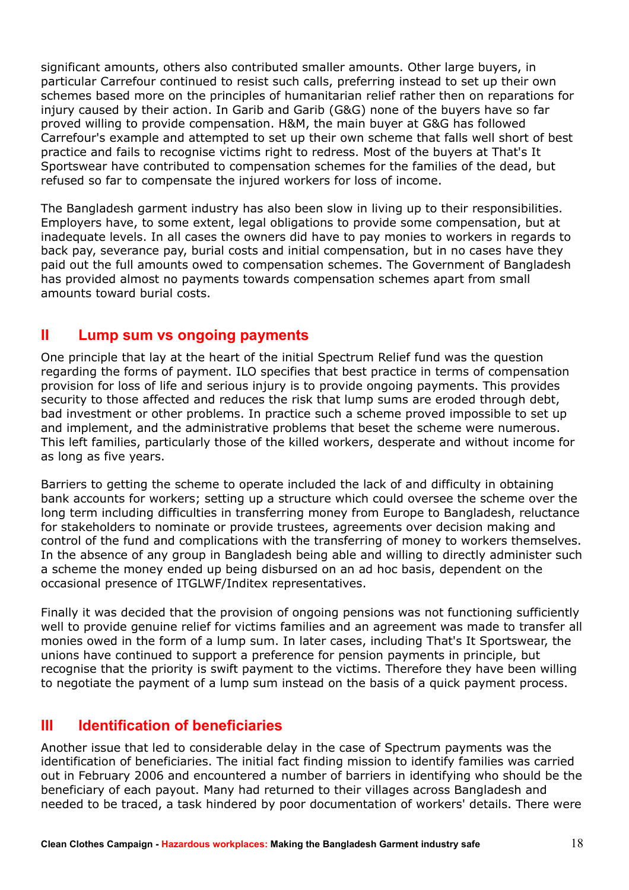significant amounts, others also contributed smaller amounts. Other large buyers, in particular Carrefour continued to resist such calls, preferring instead to set up their own schemes based more on the principles of humanitarian relief rather then on reparations for injury caused by their action. In Garib and Garib (G&G) none of the buyers have so far proved willing to provide compensation. H&M, the main buyer at G&G has followed Carrefour's example and attempted to set up their own scheme that falls well short of best practice and fails to recognise victims right to redress. Most of the buyers at That's It Sportswear have contributed to compensation schemes for the families of the dead, but refused so far to compensate the injured workers for loss of income.

The Bangladesh garment industry has also been slow in living up to their responsibilities. Employers have, to some extent, legal obligations to provide some compensation, but at inadequate levels. In all cases the owners did have to pay monies to workers in regards to back pay, severance pay, burial costs and initial compensation, but in no cases have they paid out the full amounts owed to compensation schemes. The Government of Bangladesh has provided almost no payments towards compensation schemes apart from small amounts toward burial costs.

### **II Lump sum vs ongoing payments**

One principle that lay at the heart of the initial Spectrum Relief fund was the question regarding the forms of payment. ILO specifies that best practice in terms of compensation provision for loss of life and serious injury is to provide ongoing payments. This provides security to those affected and reduces the risk that lump sums are eroded through debt, bad investment or other problems. In practice such a scheme proved impossible to set up and implement, and the administrative problems that beset the scheme were numerous. This left families, particularly those of the killed workers, desperate and without income for as long as five years.

Barriers to getting the scheme to operate included the lack of and difficulty in obtaining bank accounts for workers; setting up a structure which could oversee the scheme over the long term including difficulties in transferring money from Europe to Bangladesh, reluctance for stakeholders to nominate or provide trustees, agreements over decision making and control of the fund and complications with the transferring of money to workers themselves. In the absence of any group in Bangladesh being able and willing to directly administer such a scheme the money ended up being disbursed on an ad hoc basis, dependent on the occasional presence of ITGLWF/Inditex representatives.

Finally it was decided that the provision of ongoing pensions was not functioning sufficiently well to provide genuine relief for victims families and an agreement was made to transfer all monies owed in the form of a lump sum. In later cases, including That's It Sportswear, the unions have continued to support a preference for pension payments in principle, but recognise that the priority is swift payment to the victims. Therefore they have been willing to negotiate the payment of a lump sum instead on the basis of a quick payment process.

## **III Identification of beneficiaries**

Another issue that led to considerable delay in the case of Spectrum payments was the identification of beneficiaries. The initial fact finding mission to identify families was carried out in February 2006 and encountered a number of barriers in identifying who should be the beneficiary of each payout. Many had returned to their villages across Bangladesh and needed to be traced, a task hindered by poor documentation of workers' details. There were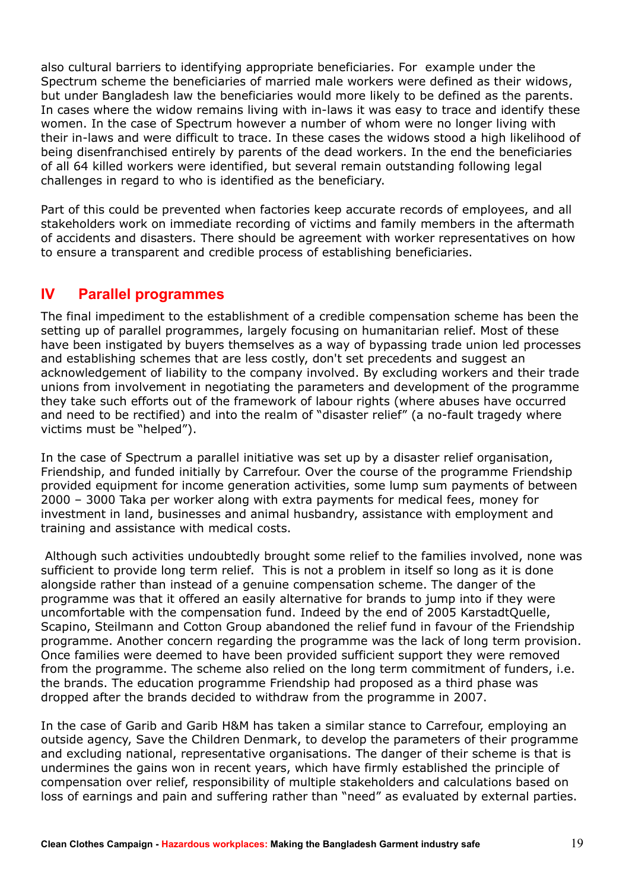also cultural barriers to identifying appropriate beneficiaries. For example under the Spectrum scheme the beneficiaries of married male workers were defined as their widows, but under Bangladesh law the beneficiaries would more likely to be defined as the parents. In cases where the widow remains living with in-laws it was easy to trace and identify these women. In the case of Spectrum however a number of whom were no longer living with their in-laws and were difficult to trace. In these cases the widows stood a high likelihood of being disenfranchised entirely by parents of the dead workers. In the end the beneficiaries of all 64 killed workers were identified, but several remain outstanding following legal challenges in regard to who is identified as the beneficiary.

Part of this could be prevented when factories keep accurate records of employees, and all stakeholders work on immediate recording of victims and family members in the aftermath of accidents and disasters. There should be agreement with worker representatives on how to ensure a transparent and credible process of establishing beneficiaries.

### **IV Parallel programmes**

The final impediment to the establishment of a credible compensation scheme has been the setting up of parallel programmes, largely focusing on humanitarian relief. Most of these have been instigated by buyers themselves as a way of bypassing trade union led processes and establishing schemes that are less costly, don't set precedents and suggest an acknowledgement of liability to the company involved. By excluding workers and their trade unions from involvement in negotiating the parameters and development of the programme they take such efforts out of the framework of labour rights (where abuses have occurred and need to be rectified) and into the realm of "disaster relief" (a no-fault tragedy where victims must be "helped").

In the case of Spectrum a parallel initiative was set up by a disaster relief organisation, Friendship, and funded initially by Carrefour. Over the course of the programme Friendship provided equipment for income generation activities, some lump sum payments of between 2000 – 3000 Taka per worker along with extra payments for medical fees, money for investment in land, businesses and animal husbandry, assistance with employment and training and assistance with medical costs.

 Although such activities undoubtedly brought some relief to the families involved, none was sufficient to provide long term relief. This is not a problem in itself so long as it is done alongside rather than instead of a genuine compensation scheme. The danger of the programme was that it offered an easily alternative for brands to jump into if they were uncomfortable with the compensation fund. Indeed by the end of 2005 KarstadtQuelle, Scapino, Steilmann and Cotton Group abandoned the relief fund in favour of the Friendship programme. Another concern regarding the programme was the lack of long term provision. Once families were deemed to have been provided sufficient support they were removed from the programme. The scheme also relied on the long term commitment of funders, i.e. the brands. The education programme Friendship had proposed as a third phase was dropped after the brands decided to withdraw from the programme in 2007.

In the case of Garib and Garib H&M has taken a similar stance to Carrefour, employing an outside agency, Save the Children Denmark, to develop the parameters of their programme and excluding national, representative organisations. The danger of their scheme is that is undermines the gains won in recent years, which have firmly established the principle of compensation over relief, responsibility of multiple stakeholders and calculations based on loss of earnings and pain and suffering rather than "need" as evaluated by external parties.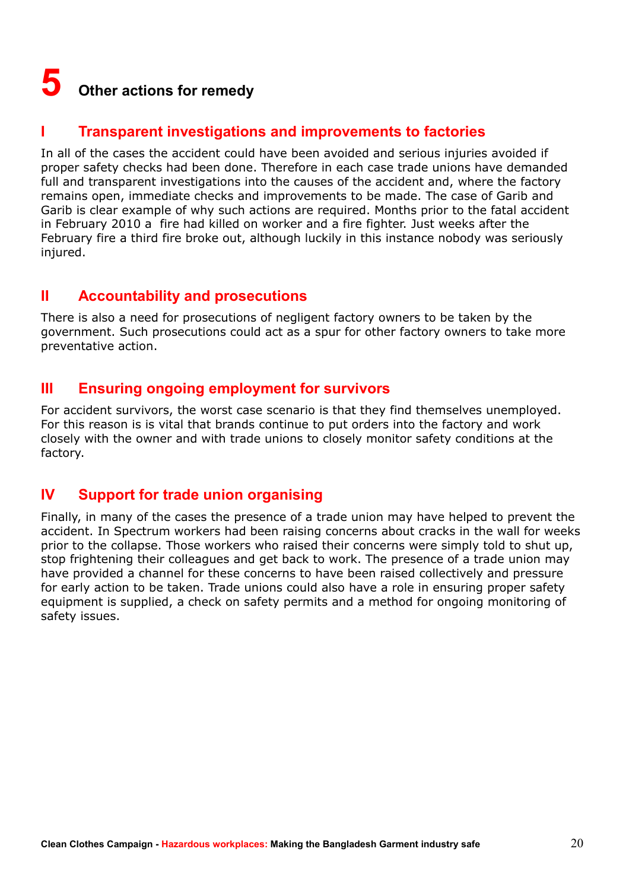# **5 Other actions for remedy**

## **I Transparent investigations and improvements to factories**

In all of the cases the accident could have been avoided and serious injuries avoided if proper safety checks had been done. Therefore in each case trade unions have demanded full and transparent investigations into the causes of the accident and, where the factory remains open, immediate checks and improvements to be made. The case of Garib and Garib is clear example of why such actions are required. Months prior to the fatal accident in February 2010 a fire had killed on worker and a fire fighter. Just weeks after the February fire a third fire broke out, although luckily in this instance nobody was seriously injured.

### **II Accountability and prosecutions**

There is also a need for prosecutions of negligent factory owners to be taken by the government. Such prosecutions could act as a spur for other factory owners to take more preventative action.

## **III Ensuring ongoing employment for survivors**

For accident survivors, the worst case scenario is that they find themselves unemployed. For this reason is is vital that brands continue to put orders into the factory and work closely with the owner and with trade unions to closely monitor safety conditions at the factory.

## **IV Support for trade union organising**

Finally, in many of the cases the presence of a trade union may have helped to prevent the accident. In Spectrum workers had been raising concerns about cracks in the wall for weeks prior to the collapse. Those workers who raised their concerns were simply told to shut up, stop frightening their colleagues and get back to work. The presence of a trade union may have provided a channel for these concerns to have been raised collectively and pressure for early action to be taken. Trade unions could also have a role in ensuring proper safety equipment is supplied, a check on safety permits and a method for ongoing monitoring of safety issues.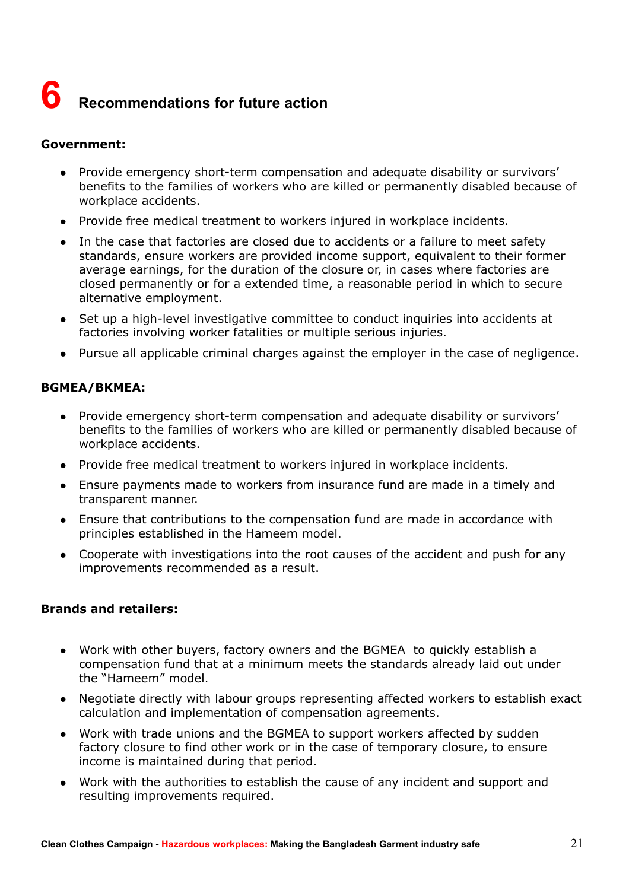# **6 Recommendations for future action**

#### **Government:**

- Provide emergency short-term compensation and adequate disability or survivors' benefits to the families of workers who are killed or permanently disabled because of workplace accidents.
- Provide free medical treatment to workers injured in workplace incidents.
- In the case that factories are closed due to accidents or a failure to meet safety standards, ensure workers are provided income support, equivalent to their former average earnings, for the duration of the closure or, in cases where factories are closed permanently or for a extended time, a reasonable period in which to secure alternative employment.
- Set up a high-level investigative committee to conduct inquiries into accidents at factories involving worker fatalities or multiple serious injuries.
- Pursue all applicable criminal charges against the employer in the case of negligence.

#### **BGMEA/BKMEA:**

- Provide emergency short-term compensation and adequate disability or survivors' benefits to the families of workers who are killed or permanently disabled because of workplace accidents.
- Provide free medical treatment to workers injured in workplace incidents.
- Ensure payments made to workers from insurance fund are made in a timely and transparent manner.
- Ensure that contributions to the compensation fund are made in accordance with principles established in the Hameem model.
- Cooperate with investigations into the root causes of the accident and push for any improvements recommended as a result.

#### **Brands and retailers:**

- Work with other buyers, factory owners and the BGMEA to quickly establish a compensation fund that at a minimum meets the standards already laid out under the "Hameem" model.
- Negotiate directly with labour groups representing affected workers to establish exact calculation and implementation of compensation agreements.
- Work with trade unions and the BGMEA to support workers affected by sudden factory closure to find other work or in the case of temporary closure, to ensure income is maintained during that period.
- Work with the authorities to establish the cause of any incident and support and resulting improvements required.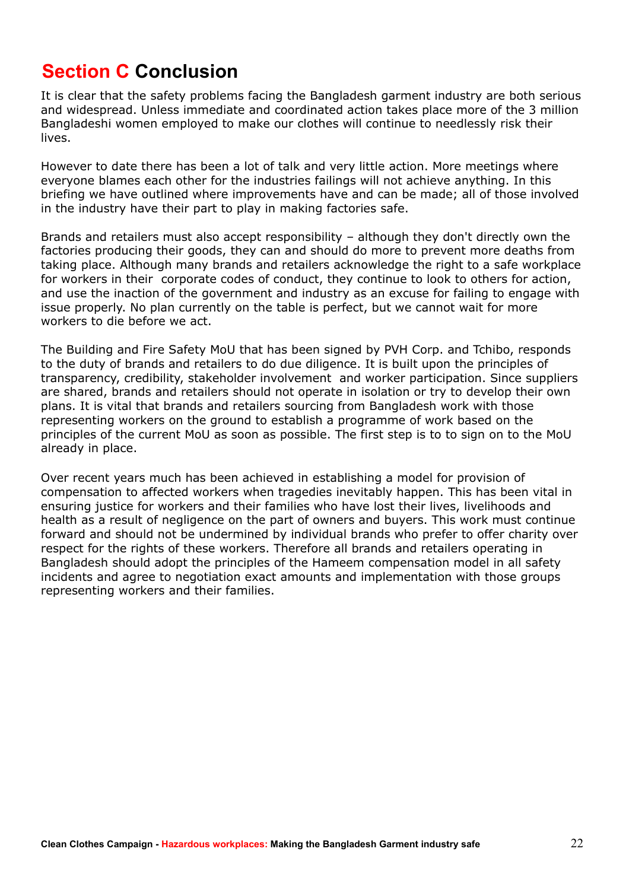# **Section C Conclusion**

It is clear that the safety problems facing the Bangladesh garment industry are both serious and widespread. Unless immediate and coordinated action takes place more of the 3 million Bangladeshi women employed to make our clothes will continue to needlessly risk their lives.

However to date there has been a lot of talk and very little action. More meetings where everyone blames each other for the industries failings will not achieve anything. In this briefing we have outlined where improvements have and can be made; all of those involved in the industry have their part to play in making factories safe.

Brands and retailers must also accept responsibility – although they don't directly own the factories producing their goods, they can and should do more to prevent more deaths from taking place. Although many brands and retailers acknowledge the right to a safe workplace for workers in their corporate codes of conduct, they continue to look to others for action, and use the inaction of the government and industry as an excuse for failing to engage with issue properly. No plan currently on the table is perfect, but we cannot wait for more workers to die before we act.

The Building and Fire Safety MoU that has been signed by PVH Corp. and Tchibo, responds to the duty of brands and retailers to do due diligence. It is built upon the principles of transparency, credibility, stakeholder involvement and worker participation. Since suppliers are shared, brands and retailers should not operate in isolation or try to develop their own plans. It is vital that brands and retailers sourcing from Bangladesh work with those representing workers on the ground to establish a programme of work based on the principles of the current MoU as soon as possible. The first step is to to sign on to the MoU already in place.

Over recent years much has been achieved in establishing a model for provision of compensation to affected workers when tragedies inevitably happen. This has been vital in ensuring justice for workers and their families who have lost their lives, livelihoods and health as a result of negligence on the part of owners and buyers. This work must continue forward and should not be undermined by individual brands who prefer to offer charity over respect for the rights of these workers. Therefore all brands and retailers operating in Bangladesh should adopt the principles of the Hameem compensation model in all safety incidents and agree to negotiation exact amounts and implementation with those groups representing workers and their families.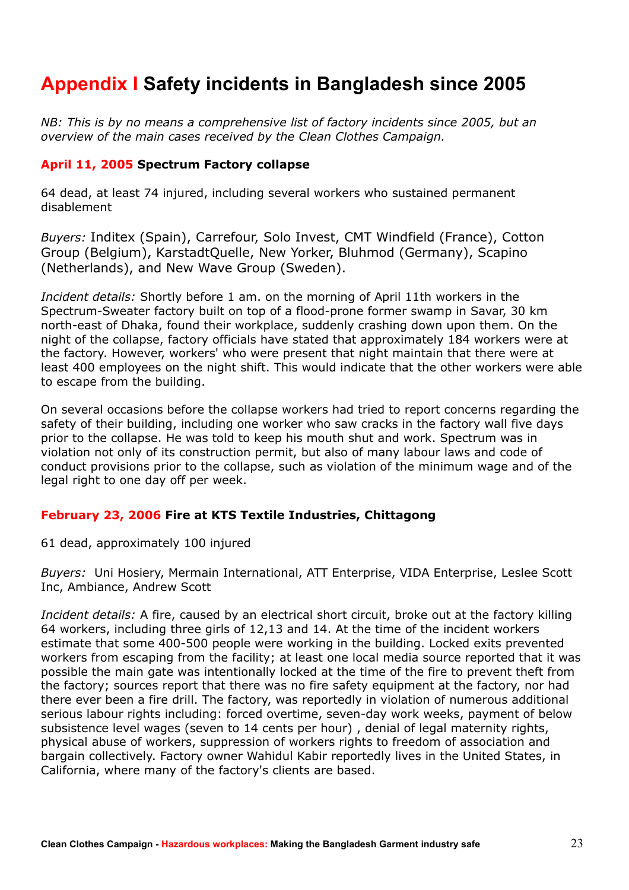# **Appendix I Safety incidents in Bangladesh since 2005**

*NB: This is by no means a comprehensive list of factory incidents since 2005, but an overview of the main cases received by the Clean Clothes Campaign.*

#### **April 11, 2005 Spectrum Factory collapse**

64 dead, at least 74 injured, including several workers who sustained permanent disablement

*Buyers:* Inditex (Spain), Carrefour, Solo Invest, CMT Windfield (France), Cotton Group (Belgium), KarstadtQuelle, New Yorker, Bluhmod (Germany), Scapino (Netherlands), and New Wave Group (Sweden).

*Incident details:* Shortly before 1 am. on the morning of April 11th workers in the Spectrum-Sweater factory built on top of a flood-prone former swamp in Savar, 30 km north-east of Dhaka, found their workplace, suddenly crashing down upon them. On the night of the collapse, factory officials have stated that approximately 184 workers were at the factory. However, workers' who were present that night maintain that there were at least 400 employees on the night shift. This would indicate that the other workers were able to escape from the building.

On several occasions before the collapse workers had tried to report concerns regarding the safety of their building, including one worker who saw cracks in the factory wall five days prior to the collapse. He was told to keep his mouth shut and work. Spectrum was in violation not only of its construction permit, but also of many labour laws and code of conduct provisions prior to the collapse, such as violation of the minimum wage and of the legal right to one day off per week.

#### **February 23, 2006 Fire at KTS Textile Industries, Chittagong**

61 dead, approximately 100 injured

*Buyers:* Uni Hosiery, Mermain International, ATT Enterprise, VIDA Enterprise, Leslee Scott Inc, Ambiance, Andrew Scott

*Incident details:* A fire, caused by an electrical short circuit, broke out at the factory killing 64 workers, including three girls of 12,13 and 14. At the time of the incident workers estimate that some 400-500 people were working in the building. Locked exits prevented workers from escaping from the facility; at least one local media source reported that it was possible the main gate was intentionally locked at the time of the fire to prevent theft from the factory; sources report that there was no fire safety equipment at the factory, nor had there ever been a fire drill. The factory, was reportedly in violation of numerous additional serious labour rights including: forced overtime, seven-day work weeks, payment of below subsistence level wages (seven to 14 cents per hour) , denial of legal maternity rights, physical abuse of workers, suppression of workers rights to freedom of association and bargain collectively. Factory owner Wahidul Kabir reportedly lives in the United States, in California, where many of the factory's clients are based.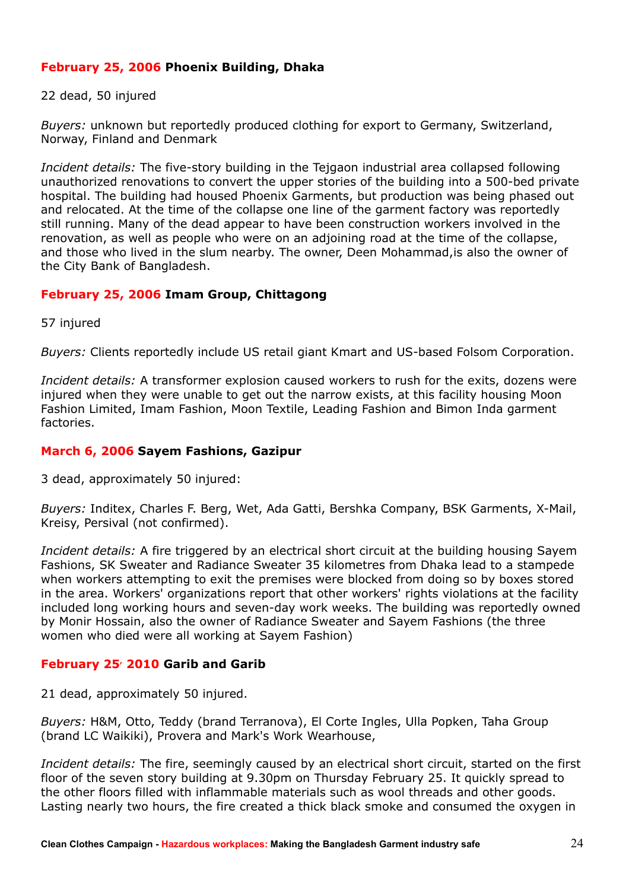#### **February 25, 2006 Phoenix Building, Dhaka**

22 dead, 50 injured

*Buyers:* unknown but reportedly produced clothing for export to Germany, Switzerland, Norway, Finland and Denmark

*Incident details:* The five-story building in the Tejgaon industrial area collapsed following unauthorized renovations to convert the upper stories of the building into a 500-bed private hospital. The building had housed Phoenix Garments, but production was being phased out and relocated. At the time of the collapse one line of the garment factory was reportedly still running. Many of the dead appear to have been construction workers involved in the renovation, as well as people who were on an adjoining road at the time of the collapse, and those who lived in the slum nearby. The owner, Deen Mohammad,is also the owner of the City Bank of Bangladesh.

#### **February 25, 2006 Imam Group, Chittagong**

57 injured

*Buyers:* Clients reportedly include US retail giant Kmart and US-based Folsom Corporation.

*Incident details:* A transformer explosion caused workers to rush for the exits, dozens were injured when they were unable to get out the narrow exists, at this facility housing Moon Fashion Limited, Imam Fashion, Moon Textile, Leading Fashion and Bimon Inda garment factories.

#### **March 6, 2006 Sayem Fashions, Gazipur**

3 dead, approximately 50 injured:

*Buyers:* Inditex, Charles F. Berg, Wet, Ada Gatti, Bershka Company, BSK Garments, X-Mail, Kreisy, Persival (not confirmed).

*Incident details:* A fire triggered by an electrical short circuit at the building housing Sayem Fashions, SK Sweater and Radiance Sweater 35 kilometres from Dhaka lead to a stampede when workers attempting to exit the premises were blocked from doing so by boxes stored in the area. Workers' organizations report that other workers' rights violations at the facility included long working hours and seven-day work weeks. The building was reportedly owned by Monir Hossain, also the owner of Radiance Sweater and Sayem Fashions (the three women who died were all working at Sayem Fashion)

#### **February 25, 2010 Garib and Garib**

21 dead, approximately 50 injured.

*Buyers:* H&M, Otto, Teddy (brand Terranova), El Corte Ingles, Ulla Popken, Taha Group (brand LC Waikiki), Provera and Mark's Work Wearhouse,

*Incident details:* The fire, seemingly caused by an electrical short circuit, started on the first floor of the seven story building at 9.30pm on Thursday February 25. It quickly spread to the other floors filled with inflammable materials such as wool threads and other goods. Lasting nearly two hours, the fire created a thick black smoke and consumed the oxygen in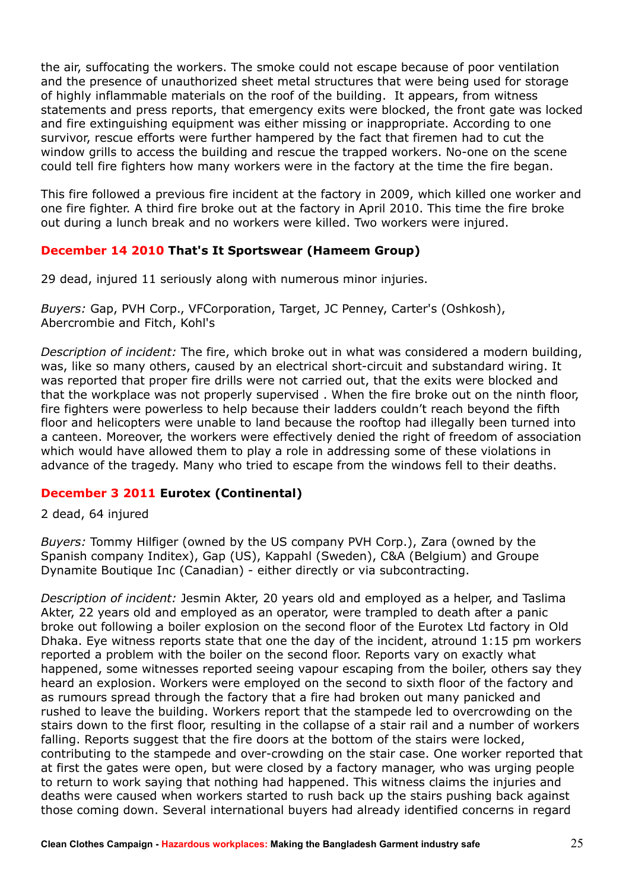the air, suffocating the workers. The smoke could not escape because of poor ventilation and the presence of unauthorized sheet metal structures that were being used for storage of highly inflammable materials on the roof of the building. It appears, from witness statements and press reports, that emergency exits were blocked, the front gate was locked and fire extinguishing equipment was either missing or inappropriate. According to one survivor, rescue efforts were further hampered by the fact that firemen had to cut the window grills to access the building and rescue the trapped workers. No-one on the scene could tell fire fighters how many workers were in the factory at the time the fire began.

This fire followed a previous fire incident at the factory in 2009, which killed one worker and one fire fighter. A third fire broke out at the factory in April 2010. This time the fire broke out during a lunch break and no workers were killed. Two workers were injured.

#### **December 14 2010 That's It Sportswear (Hameem Group)**

29 dead, injured 11 seriously along with numerous minor injuries.

*Buyers:* Gap, PVH Corp., VFCorporation, Target, JC Penney, Carter's (Oshkosh), Abercrombie and Fitch, Kohl's

*Description of incident:* The fire, which broke out in what was considered a modern building, was, like so many others, caused by an electrical short-circuit and substandard wiring. It was reported that proper fire drills were not carried out, that the exits were blocked and that the workplace was not properly supervised . When the fire broke out on the ninth floor, fire fighters were powerless to help because their ladders couldn't reach beyond the fifth floor and helicopters were unable to land because the rooftop had illegally been turned into a canteen. Moreover, the workers were effectively denied the right of freedom of association which would have allowed them to play a role in addressing some of these violations in advance of the tragedy. Many who tried to escape from the windows fell to their deaths.

#### **December 3 2011 Eurotex (Continental)**

2 dead, 64 injured

*Buyers:* Tommy Hilfiger (owned by the US company PVH Corp.), Zara (owned by the Spanish company Inditex), Gap (US), Kappahl (Sweden), C&A (Belgium) and Groupe Dynamite Boutique Inc (Canadian) - either directly or via subcontracting.

*Description of incident:* Jesmin Akter, 20 years old and employed as a helper, and Taslima Akter, 22 years old and employed as an operator, were trampled to death after a panic broke out following a boiler explosion on the second floor of the Eurotex Ltd factory in Old Dhaka. Eye witness reports state that one the day of the incident, atround 1:15 pm workers reported a problem with the boiler on the second floor. Reports vary on exactly what happened, some witnesses reported seeing vapour escaping from the boiler, others say they heard an explosion. Workers were employed on the second to sixth floor of the factory and as rumours spread through the factory that a fire had broken out many panicked and rushed to leave the building. Workers report that the stampede led to overcrowding on the stairs down to the first floor, resulting in the collapse of a stair rail and a number of workers falling. Reports suggest that the fire doors at the bottom of the stairs were locked, contributing to the stampede and over-crowding on the stair case. One worker reported that at first the gates were open, but were closed by a factory manager, who was urging people to return to work saying that nothing had happened. This witness claims the injuries and deaths were caused when workers started to rush back up the stairs pushing back against those coming down. Several international buyers had already identified concerns in regard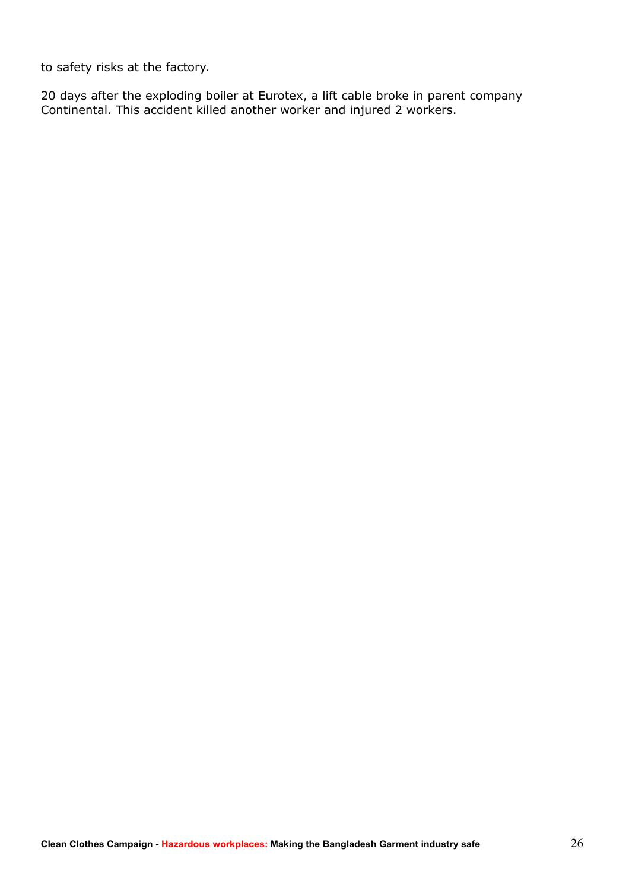to safety risks at the factory.

20 days after the exploding boiler at Eurotex, a lift cable broke in parent company Continental. This accident killed another worker and injured 2 workers.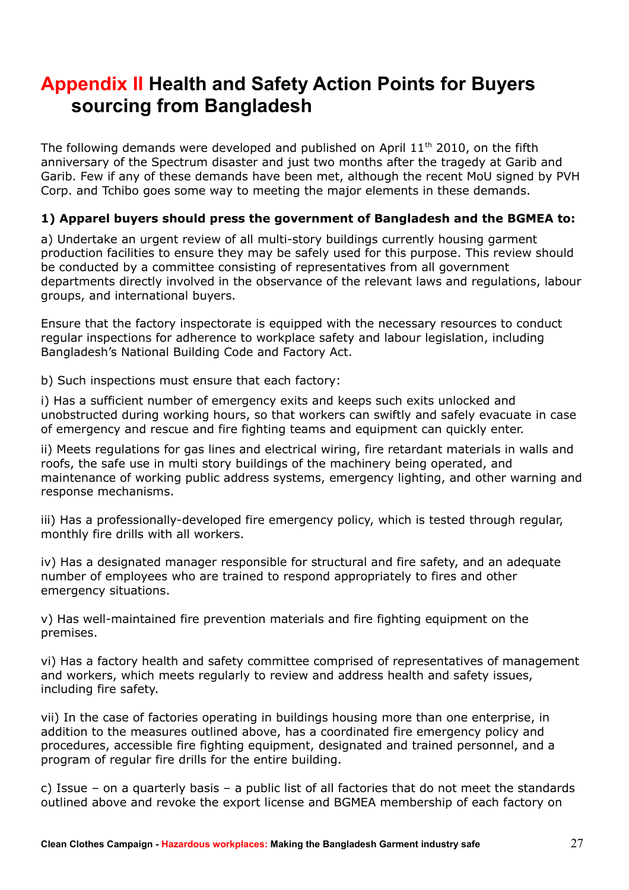# **Appendix II Health and Safety Action Points for Buyers sourcing from Bangladesh**

The following demands were developed and published on April  $11<sup>th</sup>$  2010, on the fifth anniversary of the Spectrum disaster and just two months after the tragedy at Garib and Garib. Few if any of these demands have been met, although the recent MoU signed by PVH Corp. and Tchibo goes some way to meeting the major elements in these demands.

#### **1) Apparel buyers should press the government of Bangladesh and the BGMEA to:**

a) Undertake an urgent review of all multi-story buildings currently housing garment production facilities to ensure they may be safely used for this purpose. This review should be conducted by a committee consisting of representatives from all government departments directly involved in the observance of the relevant laws and regulations, labour groups, and international buyers.

Ensure that the factory inspectorate is equipped with the necessary resources to conduct regular inspections for adherence to workplace safety and labour legislation, including Bangladesh's National Building Code and Factory Act.

b) Such inspections must ensure that each factory:

i) Has a sufficient number of emergency exits and keeps such exits unlocked and unobstructed during working hours, so that workers can swiftly and safely evacuate in case of emergency and rescue and fire fighting teams and equipment can quickly enter.

ii) Meets regulations for gas lines and electrical wiring, fire retardant materials in walls and roofs, the safe use in multi story buildings of the machinery being operated, and maintenance of working public address systems, emergency lighting, and other warning and response mechanisms.

iii) Has a professionally-developed fire emergency policy, which is tested through regular, monthly fire drills with all workers.

iv) Has a designated manager responsible for structural and fire safety, and an adequate number of employees who are trained to respond appropriately to fires and other emergency situations.

v) Has well-maintained fire prevention materials and fire fighting equipment on the premises.

vi) Has a factory health and safety committee comprised of representatives of management and workers, which meets regularly to review and address health and safety issues, including fire safety.

vii) In the case of factories operating in buildings housing more than one enterprise, in addition to the measures outlined above, has a coordinated fire emergency policy and procedures, accessible fire fighting equipment, designated and trained personnel, and a program of regular fire drills for the entire building.

c) Issue – on a quarterly basis – a public list of all factories that do not meet the standards outlined above and revoke the export license and BGMEA membership of each factory on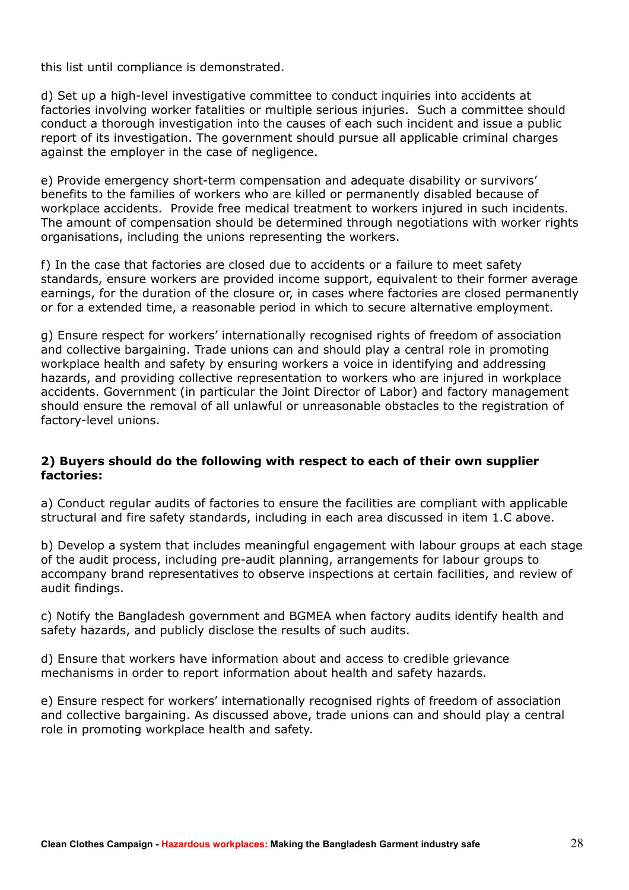this list until compliance is demonstrated.

d) Set up a high-level investigative committee to conduct inquiries into accidents at factories involving worker fatalities or multiple serious injuries. Such a committee should conduct a thorough investigation into the causes of each such incident and issue a public report of its investigation. The government should pursue all applicable criminal charges against the employer in the case of negligence.

e) Provide emergency short-term compensation and adequate disability or survivors' benefits to the families of workers who are killed or permanently disabled because of workplace accidents. Provide free medical treatment to workers injured in such incidents. The amount of compensation should be determined through negotiations with worker rights organisations, including the unions representing the workers.

f) In the case that factories are closed due to accidents or a failure to meet safety standards, ensure workers are provided income support, equivalent to their former average earnings, for the duration of the closure or, in cases where factories are closed permanently or for a extended time, a reasonable period in which to secure alternative employment.

g) Ensure respect for workers' internationally recognised rights of freedom of association and collective bargaining. Trade unions can and should play a central role in promoting workplace health and safety by ensuring workers a voice in identifying and addressing hazards, and providing collective representation to workers who are injured in workplace accidents. Government (in particular the Joint Director of Labor) and factory management should ensure the removal of all unlawful or unreasonable obstacles to the registration of factory-level unions.

#### **2) Buyers should do the following with respect to each of their own supplier factories:**

a) Conduct regular audits of factories to ensure the facilities are compliant with applicable structural and fire safety standards, including in each area discussed in item 1.C above.

b) Develop a system that includes meaningful engagement with labour groups at each stage of the audit process, including pre-audit planning, arrangements for labour groups to accompany brand representatives to observe inspections at certain facilities, and review of audit findings.

c) Notify the Bangladesh government and BGMEA when factory audits identify health and safety hazards, and publicly disclose the results of such audits.

d) Ensure that workers have information about and access to credible grievance mechanisms in order to report information about health and safety hazards.

e) Ensure respect for workers' internationally recognised rights of freedom of association and collective bargaining. As discussed above, trade unions can and should play a central role in promoting workplace health and safety.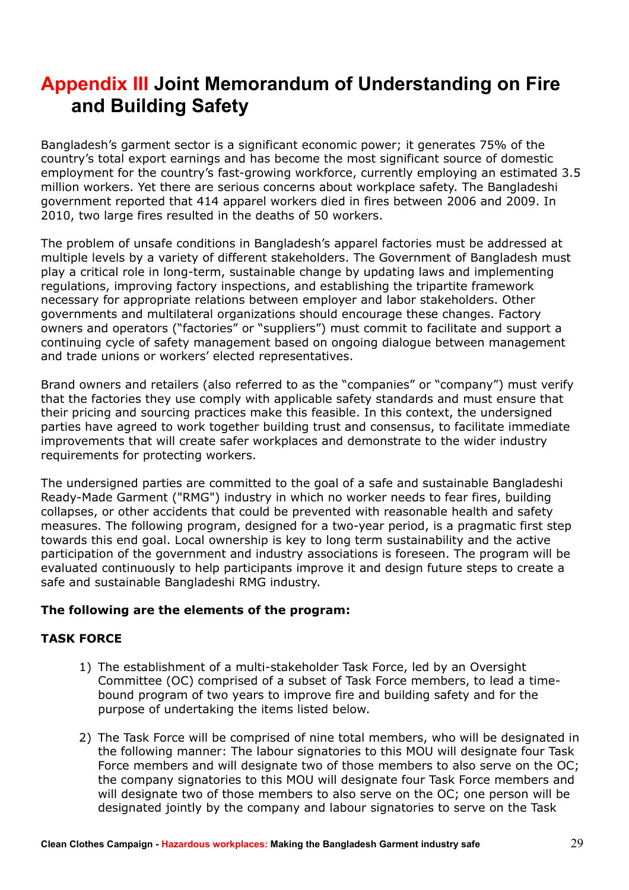# **Appendix III Joint Memorandum of Understanding on Fire and Building Safety**

Bangladesh's garment sector is a significant economic power; it generates 75% of the country's total export earnings and has become the most significant source of domestic employment for the country's fast-growing workforce, currently employing an estimated 3.5 million workers. Yet there are serious concerns about workplace safety. The Bangladeshi government reported that 414 apparel workers died in fires between 2006 and 2009. In 2010, two large fires resulted in the deaths of 50 workers.

The problem of unsafe conditions in Bangladesh's apparel factories must be addressed at multiple levels by a variety of different stakeholders. The Government of Bangladesh must play a critical role in long-term, sustainable change by updating laws and implementing regulations, improving factory inspections, and establishing the tripartite framework necessary for appropriate relations between employer and labor stakeholders. Other governments and multilateral organizations should encourage these changes. Factory owners and operators ("factories" or "suppliers") must commit to facilitate and support a continuing cycle of safety management based on ongoing dialogue between management and trade unions or workers' elected representatives.

Brand owners and retailers (also referred to as the "companies" or "company") must verify that the factories they use comply with applicable safety standards and must ensure that their pricing and sourcing practices make this feasible. In this context, the undersigned parties have agreed to work together building trust and consensus, to facilitate immediate improvements that will create safer workplaces and demonstrate to the wider industry requirements for protecting workers.

The undersigned parties are committed to the goal of a safe and sustainable Bangladeshi Ready-Made Garment ("RMG") industry in which no worker needs to fear fires, building collapses, or other accidents that could be prevented with reasonable health and safety measures. The following program, designed for a two-year period, is a pragmatic first step towards this end goal. Local ownership is key to long term sustainability and the active participation of the government and industry associations is foreseen. The program will be evaluated continuously to help participants improve it and design future steps to create a safe and sustainable Bangladeshi RMG industry.

#### **The following are the elements of the program:**

#### **TASK FORCE**

- 1) The establishment of a multi-stakeholder Task Force, led by an Oversight Committee (OC) comprised of a subset of Task Force members, to lead a timebound program of two years to improve fire and building safety and for the purpose of undertaking the items listed below.
- 2) The Task Force will be comprised of nine total members, who will be designated in the following manner: The labour signatories to this MOU will designate four Task Force members and will designate two of those members to also serve on the OC; the company signatories to this MOU will designate four Task Force members and will designate two of those members to also serve on the OC; one person will be designated jointly by the company and labour signatories to serve on the Task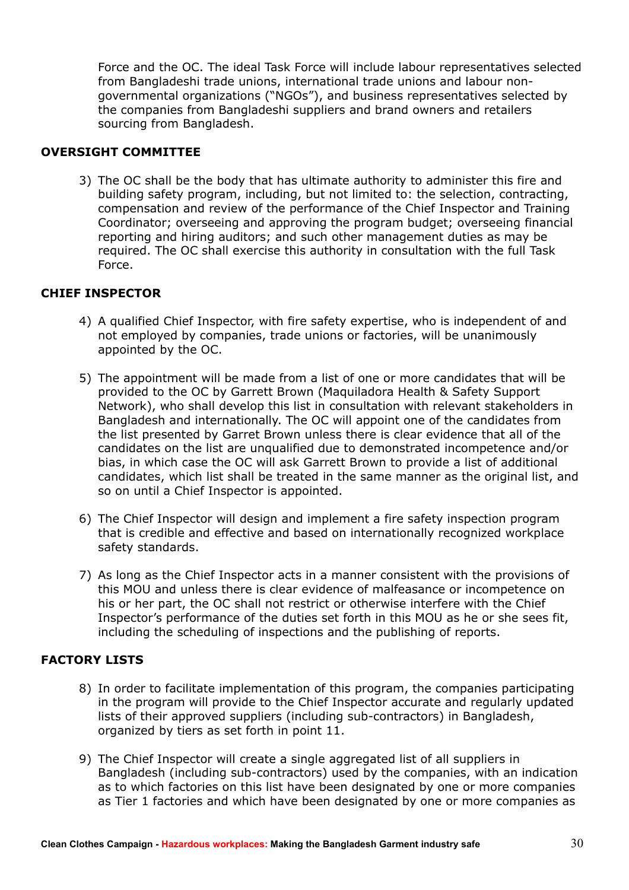Force and the OC. The ideal Task Force will include labour representatives selected from Bangladeshi trade unions, international trade unions and labour nongovernmental organizations ("NGOs"), and business representatives selected by the companies from Bangladeshi suppliers and brand owners and retailers sourcing from Bangladesh.

#### **OVERSIGHT COMMITTEE**

3) The OC shall be the body that has ultimate authority to administer this fire and building safety program, including, but not limited to: the selection, contracting, compensation and review of the performance of the Chief Inspector and Training Coordinator; overseeing and approving the program budget; overseeing financial reporting and hiring auditors; and such other management duties as may be required. The OC shall exercise this authority in consultation with the full Task Force.

#### **CHIEF INSPECTOR**

- 4) A qualified Chief Inspector, with fire safety expertise, who is independent of and not employed by companies, trade unions or factories, will be unanimously appointed by the OC.
- 5) The appointment will be made from a list of one or more candidates that will be provided to the OC by Garrett Brown (Maquiladora Health & Safety Support Network), who shall develop this list in consultation with relevant stakeholders in Bangladesh and internationally. The OC will appoint one of the candidates from the list presented by Garret Brown unless there is clear evidence that all of the candidates on the list are unqualified due to demonstrated incompetence and/or bias, in which case the OC will ask Garrett Brown to provide a list of additional candidates, which list shall be treated in the same manner as the original list, and so on until a Chief Inspector is appointed.
- 6) The Chief Inspector will design and implement a fire safety inspection program that is credible and effective and based on internationally recognized workplace safety standards.
- 7) As long as the Chief Inspector acts in a manner consistent with the provisions of this MOU and unless there is clear evidence of malfeasance or incompetence on his or her part, the OC shall not restrict or otherwise interfere with the Chief Inspector's performance of the duties set forth in this MOU as he or she sees fit, including the scheduling of inspections and the publishing of reports.

#### **FACTORY LISTS**

- 8) In order to facilitate implementation of this program, the companies participating in the program will provide to the Chief Inspector accurate and regularly updated lists of their approved suppliers (including sub-contractors) in Bangladesh, organized by tiers as set forth in point 11.
- 9) The Chief Inspector will create a single aggregated list of all suppliers in Bangladesh (including sub-contractors) used by the companies, with an indication as to which factories on this list have been designated by one or more companies as Tier 1 factories and which have been designated by one or more companies as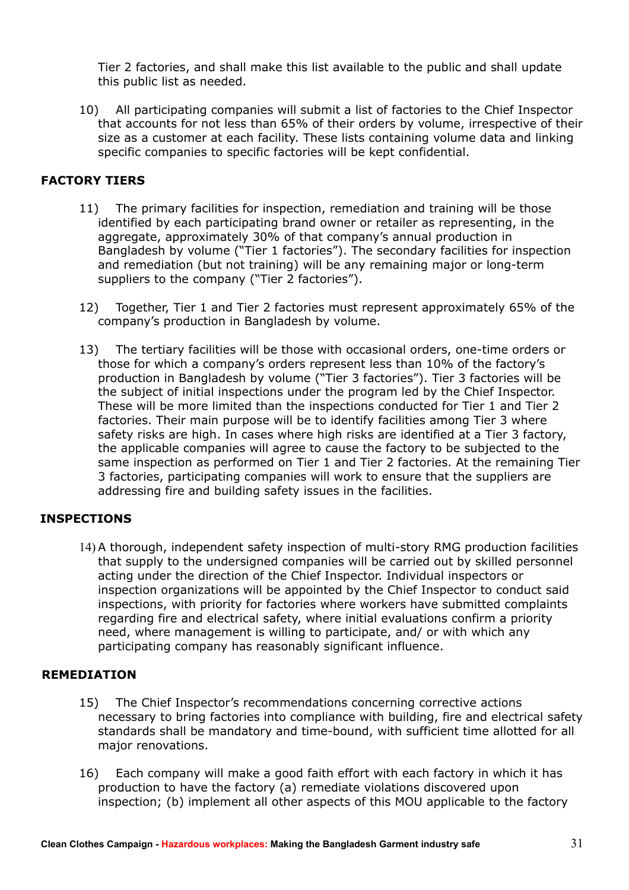Tier 2 factories, and shall make this list available to the public and shall update this public list as needed.

10) All participating companies will submit a list of factories to the Chief Inspector that accounts for not less than 65% of their orders by volume, irrespective of their size as a customer at each facility. These lists containing volume data and linking specific companies to specific factories will be kept confidential.

#### **FACTORY TIERS**

- 11) The primary facilities for inspection, remediation and training will be those identified by each participating brand owner or retailer as representing, in the aggregate, approximately 30% of that company's annual production in Bangladesh by volume ("Tier 1 factories"). The secondary facilities for inspection and remediation (but not training) will be any remaining major or long-term suppliers to the company ("Tier 2 factories").
- 12) Together, Tier 1 and Tier 2 factories must represent approximately 65% of the company's production in Bangladesh by volume.
- 13) The tertiary facilities will be those with occasional orders, one-time orders or those for which a company's orders represent less than 10% of the factory's production in Bangladesh by volume ("Tier 3 factories"). Tier 3 factories will be the subject of initial inspections under the program led by the Chief Inspector. These will be more limited than the inspections conducted for Tier 1 and Tier 2 factories. Their main purpose will be to identify facilities among Tier 3 where safety risks are high. In cases where high risks are identified at a Tier 3 factory, the applicable companies will agree to cause the factory to be subjected to the same inspection as performed on Tier 1 and Tier 2 factories. At the remaining Tier 3 factories, participating companies will work to ensure that the suppliers are addressing fire and building safety issues in the facilities.

#### **INSPECTIONS**

14) A thorough, independent safety inspection of multi-story RMG production facilities that supply to the undersigned companies will be carried out by skilled personnel acting under the direction of the Chief Inspector. Individual inspectors or inspection organizations will be appointed by the Chief Inspector to conduct said inspections, with priority for factories where workers have submitted complaints regarding fire and electrical safety, where initial evaluations confirm a priority need, where management is willing to participate, and/ or with which any participating company has reasonably significant influence.

#### **REMEDIATION**

- 15) The Chief Inspector's recommendations concerning corrective actions necessary to bring factories into compliance with building, fire and electrical safety standards shall be mandatory and time-bound, with sufficient time allotted for all major renovations.
- 16) Each company will make a good faith effort with each factory in which it has production to have the factory (a) remediate violations discovered upon inspection; (b) implement all other aspects of this MOU applicable to the factory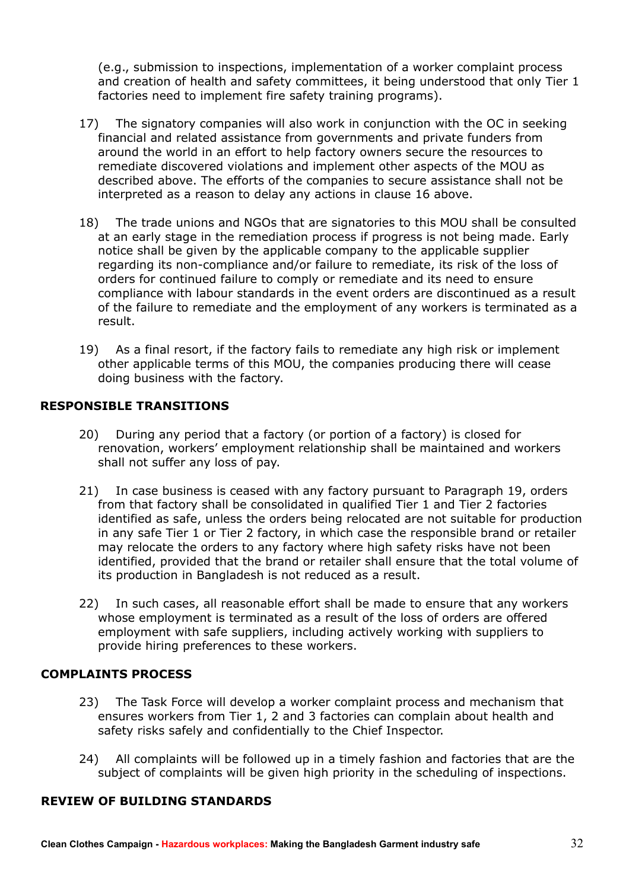(e.g., submission to inspections, implementation of a worker complaint process and creation of health and safety committees, it being understood that only Tier 1 factories need to implement fire safety training programs).

- 17) The signatory companies will also work in conjunction with the OC in seeking financial and related assistance from governments and private funders from around the world in an effort to help factory owners secure the resources to remediate discovered violations and implement other aspects of the MOU as described above. The efforts of the companies to secure assistance shall not be interpreted as a reason to delay any actions in clause 16 above.
- 18) The trade unions and NGOs that are signatories to this MOU shall be consulted at an early stage in the remediation process if progress is not being made. Early notice shall be given by the applicable company to the applicable supplier regarding its non-compliance and/or failure to remediate, its risk of the loss of orders for continued failure to comply or remediate and its need to ensure compliance with labour standards in the event orders are discontinued as a result of the failure to remediate and the employment of any workers is terminated as a result.
- 19) As a final resort, if the factory fails to remediate any high risk or implement other applicable terms of this MOU, the companies producing there will cease doing business with the factory.

#### **RESPONSIBLE TRANSITIONS**

- 20) During any period that a factory (or portion of a factory) is closed for renovation, workers' employment relationship shall be maintained and workers shall not suffer any loss of pay.
- 21) In case business is ceased with any factory pursuant to Paragraph 19, orders from that factory shall be consolidated in qualified Tier 1 and Tier 2 factories identified as safe, unless the orders being relocated are not suitable for production in any safe Tier 1 or Tier 2 factory, in which case the responsible brand or retailer may relocate the orders to any factory where high safety risks have not been identified, provided that the brand or retailer shall ensure that the total volume of its production in Bangladesh is not reduced as a result.
- 22) In such cases, all reasonable effort shall be made to ensure that any workers whose employment is terminated as a result of the loss of orders are offered employment with safe suppliers, including actively working with suppliers to provide hiring preferences to these workers.

#### **COMPLAINTS PROCESS**

- 23) The Task Force will develop a worker complaint process and mechanism that ensures workers from Tier 1, 2 and 3 factories can complain about health and safety risks safely and confidentially to the Chief Inspector.
- 24) All complaints will be followed up in a timely fashion and factories that are the subject of complaints will be given high priority in the scheduling of inspections.

#### **REVIEW OF BUILDING STANDARDS**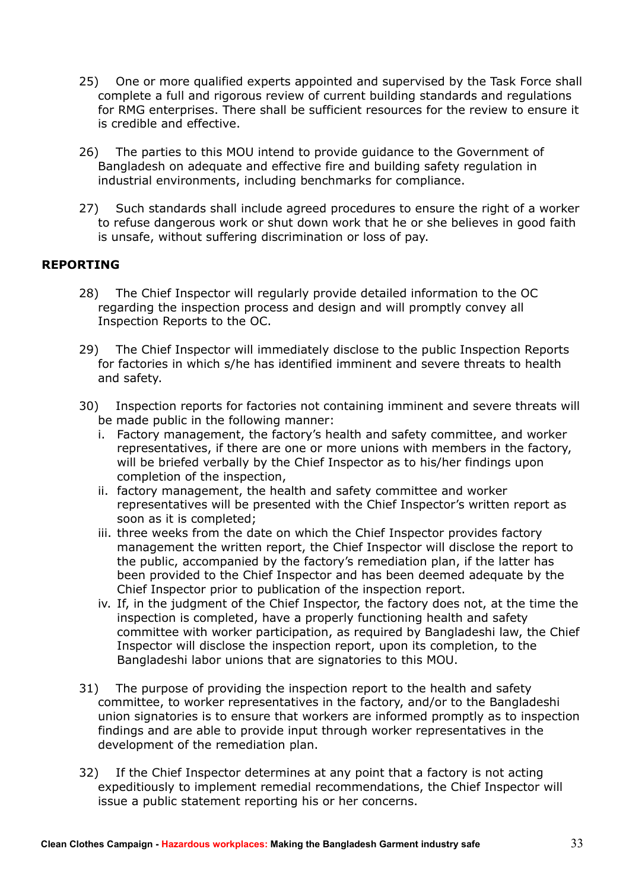- 25) One or more qualified experts appointed and supervised by the Task Force shall complete a full and rigorous review of current building standards and regulations for RMG enterprises. There shall be sufficient resources for the review to ensure it is credible and effective.
- 26) The parties to this MOU intend to provide guidance to the Government of Bangladesh on adequate and effective fire and building safety regulation in industrial environments, including benchmarks for compliance.
- 27) Such standards shall include agreed procedures to ensure the right of a worker to refuse dangerous work or shut down work that he or she believes in good faith is unsafe, without suffering discrimination or loss of pay.

#### **REPORTING**

- 28) The Chief Inspector will regularly provide detailed information to the OC regarding the inspection process and design and will promptly convey all Inspection Reports to the OC.
- 29) The Chief Inspector will immediately disclose to the public Inspection Reports for factories in which s/he has identified imminent and severe threats to health and safety.
- 30) Inspection reports for factories not containing imminent and severe threats will be made public in the following manner:
	- i. Factory management, the factory's health and safety committee, and worker representatives, if there are one or more unions with members in the factory, will be briefed verbally by the Chief Inspector as to his/her findings upon completion of the inspection,
	- ii. factory management, the health and safety committee and worker representatives will be presented with the Chief Inspector's written report as soon as it is completed;
	- iii. three weeks from the date on which the Chief Inspector provides factory management the written report, the Chief Inspector will disclose the report to the public, accompanied by the factory's remediation plan, if the latter has been provided to the Chief Inspector and has been deemed adequate by the Chief Inspector prior to publication of the inspection report.
	- iv. If, in the judgment of the Chief Inspector, the factory does not, at the time the inspection is completed, have a properly functioning health and safety committee with worker participation, as required by Bangladeshi law, the Chief Inspector will disclose the inspection report, upon its completion, to the Bangladeshi labor unions that are signatories to this MOU.
- 31) The purpose of providing the inspection report to the health and safety committee, to worker representatives in the factory, and/or to the Bangladeshi union signatories is to ensure that workers are informed promptly as to inspection findings and are able to provide input through worker representatives in the development of the remediation plan.
- 32) If the Chief Inspector determines at any point that a factory is not acting expeditiously to implement remedial recommendations, the Chief Inspector will issue a public statement reporting his or her concerns.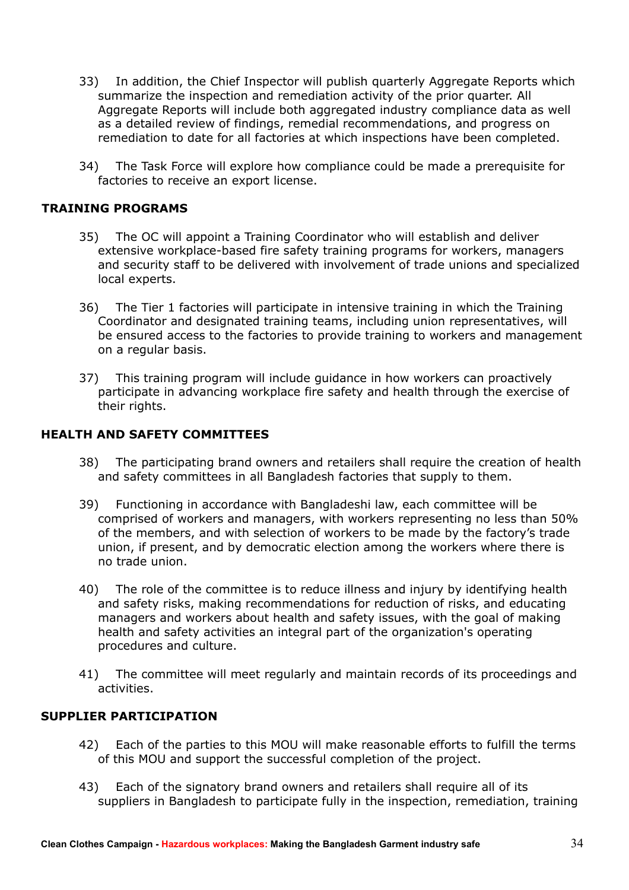- 33) In addition, the Chief Inspector will publish quarterly Aggregate Reports which summarize the inspection and remediation activity of the prior quarter. All Aggregate Reports will include both aggregated industry compliance data as well as a detailed review of findings, remedial recommendations, and progress on remediation to date for all factories at which inspections have been completed.
- 34) The Task Force will explore how compliance could be made a prerequisite for factories to receive an export license.

#### **TRAINING PROGRAMS**

- 35) The OC will appoint a Training Coordinator who will establish and deliver extensive workplace-based fire safety training programs for workers, managers and security staff to be delivered with involvement of trade unions and specialized local experts.
- 36) The Tier 1 factories will participate in intensive training in which the Training Coordinator and designated training teams, including union representatives, will be ensured access to the factories to provide training to workers and management on a regular basis.
- 37) This training program will include guidance in how workers can proactively participate in advancing workplace fire safety and health through the exercise of their rights.

#### **HEALTH AND SAFETY COMMITTEES**

- 38) The participating brand owners and retailers shall require the creation of health and safety committees in all Bangladesh factories that supply to them.
- 39) Functioning in accordance with Bangladeshi law, each committee will be comprised of workers and managers, with workers representing no less than 50% of the members, and with selection of workers to be made by the factory's trade union, if present, and by democratic election among the workers where there is no trade union.
- 40) The role of the committee is to reduce illness and injury by identifying health and safety risks, making recommendations for reduction of risks, and educating managers and workers about health and safety issues, with the goal of making health and safety activities an integral part of the organization's operating procedures and culture.
- 41) The committee will meet regularly and maintain records of its proceedings and activities.

#### **SUPPLIER PARTICIPATION**

- 42) Each of the parties to this MOU will make reasonable efforts to fulfill the terms of this MOU and support the successful completion of the project.
- 43) Each of the signatory brand owners and retailers shall require all of its suppliers in Bangladesh to participate fully in the inspection, remediation, training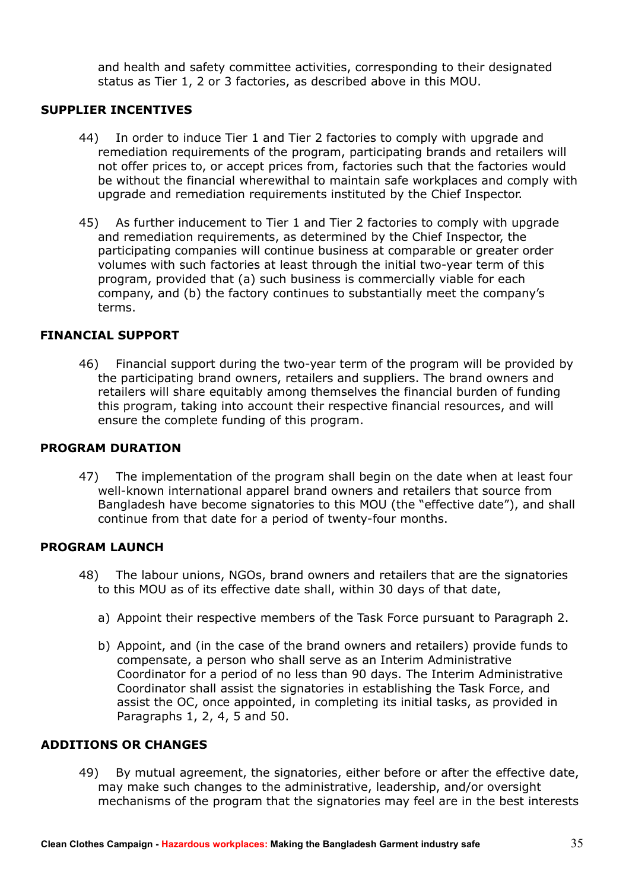and health and safety committee activities, corresponding to their designated status as Tier 1, 2 or 3 factories, as described above in this MOU.

#### **SUPPLIER INCENTIVES**

- 44) In order to induce Tier 1 and Tier 2 factories to comply with upgrade and remediation requirements of the program, participating brands and retailers will not offer prices to, or accept prices from, factories such that the factories would be without the financial wherewithal to maintain safe workplaces and comply with upgrade and remediation requirements instituted by the Chief Inspector.
- 45) As further inducement to Tier 1 and Tier 2 factories to comply with upgrade and remediation requirements, as determined by the Chief Inspector, the participating companies will continue business at comparable or greater order volumes with such factories at least through the initial two-year term of this program, provided that (a) such business is commercially viable for each company, and (b) the factory continues to substantially meet the company's terms.

#### **FINANCIAL SUPPORT**

46) Financial support during the two-year term of the program will be provided by the participating brand owners, retailers and suppliers. The brand owners and retailers will share equitably among themselves the financial burden of funding this program, taking into account their respective financial resources, and will ensure the complete funding of this program.

#### **PROGRAM DURATION**

47) The implementation of the program shall begin on the date when at least four well-known international apparel brand owners and retailers that source from Bangladesh have become signatories to this MOU (the "effective date"), and shall continue from that date for a period of twenty-four months.

#### **PROGRAM LAUNCH**

- 48) The labour unions, NGOs, brand owners and retailers that are the signatories to this MOU as of its effective date shall, within 30 days of that date,
	- a) Appoint their respective members of the Task Force pursuant to Paragraph 2.
	- b) Appoint, and (in the case of the brand owners and retailers) provide funds to compensate, a person who shall serve as an Interim Administrative Coordinator for a period of no less than 90 days. The Interim Administrative Coordinator shall assist the signatories in establishing the Task Force, and assist the OC, once appointed, in completing its initial tasks, as provided in Paragraphs 1, 2, 4, 5 and 50.

#### **ADDITIONS OR CHANGES**

49) By mutual agreement, the signatories, either before or after the effective date, may make such changes to the administrative, leadership, and/or oversight mechanisms of the program that the signatories may feel are in the best interests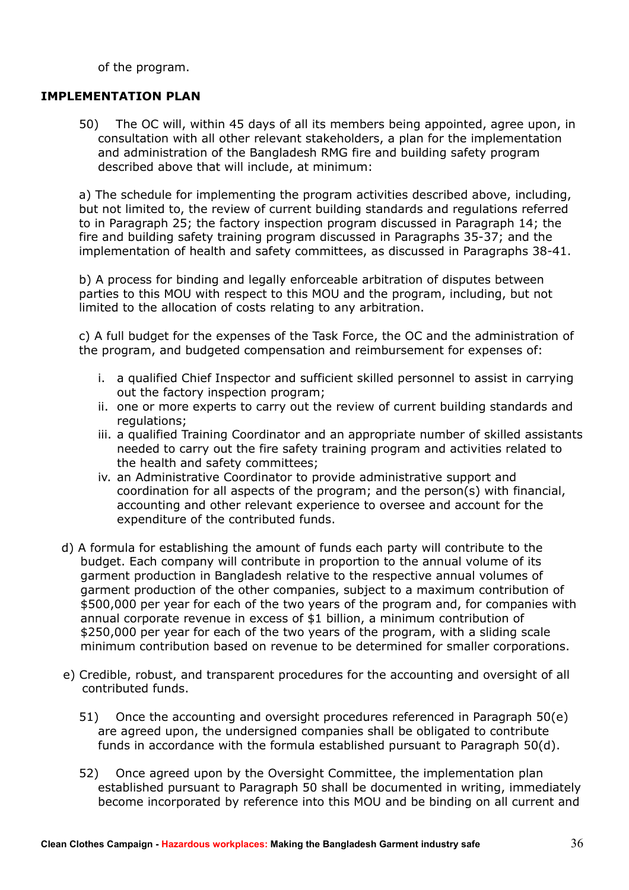of the program.

#### **IMPLEMENTATION PLAN**

50) The OC will, within 45 days of all its members being appointed, agree upon, in consultation with all other relevant stakeholders, a plan for the implementation and administration of the Bangladesh RMG fire and building safety program described above that will include, at minimum:

a) The schedule for implementing the program activities described above, including, but not limited to, the review of current building standards and regulations referred to in Paragraph 25; the factory inspection program discussed in Paragraph 14; the fire and building safety training program discussed in Paragraphs 35-37; and the implementation of health and safety committees, as discussed in Paragraphs 38-41.

b) A process for binding and legally enforceable arbitration of disputes between parties to this MOU with respect to this MOU and the program, including, but not limited to the allocation of costs relating to any arbitration.

c) A full budget for the expenses of the Task Force, the OC and the administration of the program, and budgeted compensation and reimbursement for expenses of:

- i. a qualified Chief Inspector and sufficient skilled personnel to assist in carrying out the factory inspection program;
- ii. one or more experts to carry out the review of current building standards and regulations;
- iii. a qualified Training Coordinator and an appropriate number of skilled assistants needed to carry out the fire safety training program and activities related to the health and safety committees;
- iv. an Administrative Coordinator to provide administrative support and coordination for all aspects of the program; and the person(s) with financial, accounting and other relevant experience to oversee and account for the expenditure of the contributed funds.
- d) A formula for establishing the amount of funds each party will contribute to the budget. Each company will contribute in proportion to the annual volume of its garment production in Bangladesh relative to the respective annual volumes of garment production of the other companies, subject to a maximum contribution of \$500,000 per year for each of the two years of the program and, for companies with annual corporate revenue in excess of \$1 billion, a minimum contribution of \$250,000 per year for each of the two years of the program, with a sliding scale minimum contribution based on revenue to be determined for smaller corporations.
- e) Credible, robust, and transparent procedures for the accounting and oversight of all contributed funds.
	- 51) Once the accounting and oversight procedures referenced in Paragraph 50(e) are agreed upon, the undersigned companies shall be obligated to contribute funds in accordance with the formula established pursuant to Paragraph 50(d).
	- 52) Once agreed upon by the Oversight Committee, the implementation plan established pursuant to Paragraph 50 shall be documented in writing, immediately become incorporated by reference into this MOU and be binding on all current and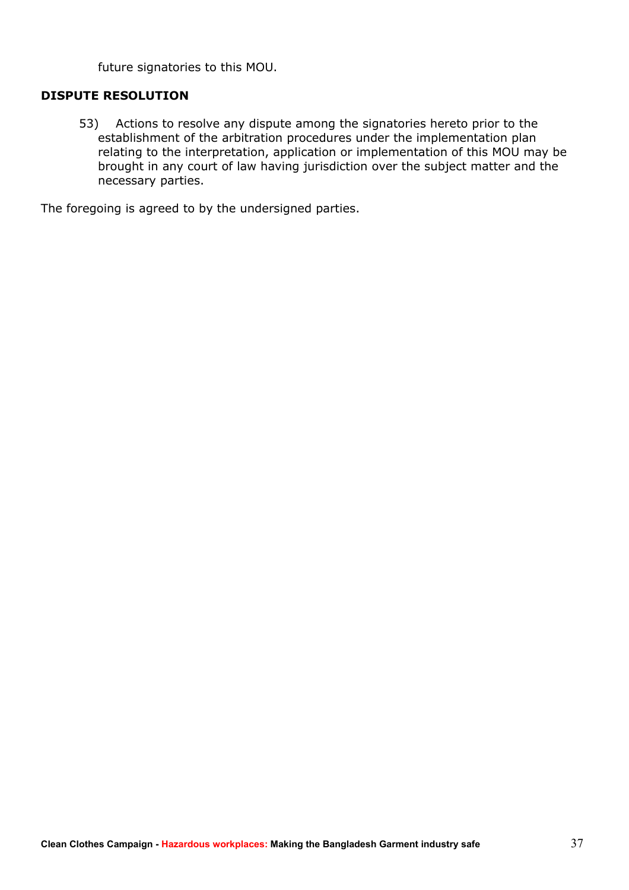future signatories to this MOU.

#### **DISPUTE RESOLUTION**

53) Actions to resolve any dispute among the signatories hereto prior to the establishment of the arbitration procedures under the implementation plan relating to the interpretation, application or implementation of this MOU may be brought in any court of law having jurisdiction over the subject matter and the necessary parties.

The foregoing is agreed to by the undersigned parties.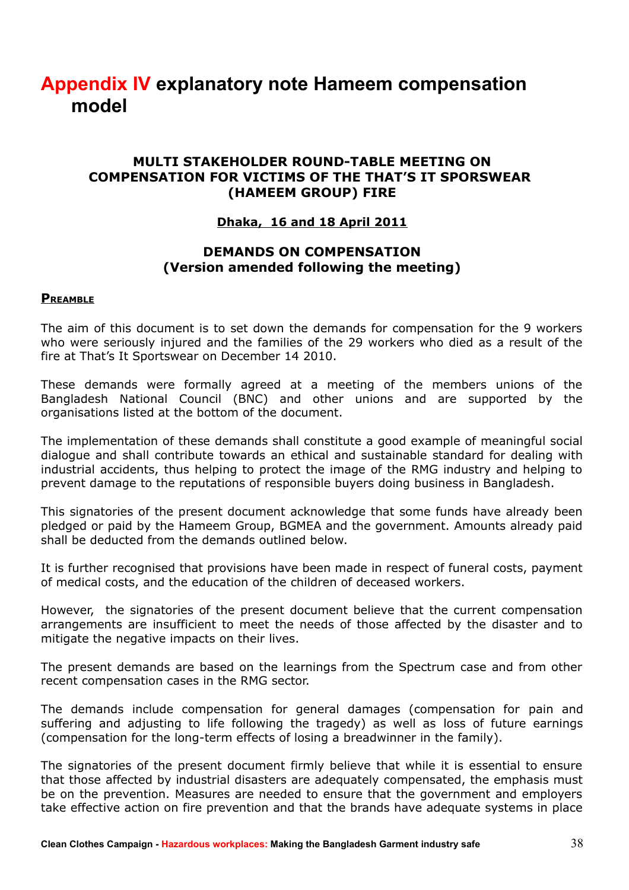# **Appendix IV explanatory note Hameem compensation model**

#### **MULTI STAKEHOLDER ROUND-TABLE MEETING ON COMPENSATION FOR VICTIMS OF THE THAT'S IT SPORSWEAR (HAMEEM GROUP) FIRE**

#### **Dhaka, 16 and 18 April 2011**

#### **DEMANDS ON COMPENSATION (Version amended following the meeting)**

#### **PREAMBLE**

The aim of this document is to set down the demands for compensation for the 9 workers who were seriously injured and the families of the 29 workers who died as a result of the fire at That's It Sportswear on December 14 2010.

These demands were formally agreed at a meeting of the members unions of the Bangladesh National Council (BNC) and other unions and are supported by the organisations listed at the bottom of the document.

The implementation of these demands shall constitute a good example of meaningful social dialogue and shall contribute towards an ethical and sustainable standard for dealing with industrial accidents, thus helping to protect the image of the RMG industry and helping to prevent damage to the reputations of responsible buyers doing business in Bangladesh.

This signatories of the present document acknowledge that some funds have already been pledged or paid by the Hameem Group, BGMEA and the government. Amounts already paid shall be deducted from the demands outlined below.

It is further recognised that provisions have been made in respect of funeral costs, payment of medical costs, and the education of the children of deceased workers.

However, the signatories of the present document believe that the current compensation arrangements are insufficient to meet the needs of those affected by the disaster and to mitigate the negative impacts on their lives.

The present demands are based on the learnings from the Spectrum case and from other recent compensation cases in the RMG sector.

The demands include compensation for general damages (compensation for pain and suffering and adjusting to life following the tragedy) as well as loss of future earnings (compensation for the long-term effects of losing a breadwinner in the family).

The signatories of the present document firmly believe that while it is essential to ensure that those affected by industrial disasters are adequately compensated, the emphasis must be on the prevention. Measures are needed to ensure that the government and employers take effective action on fire prevention and that the brands have adequate systems in place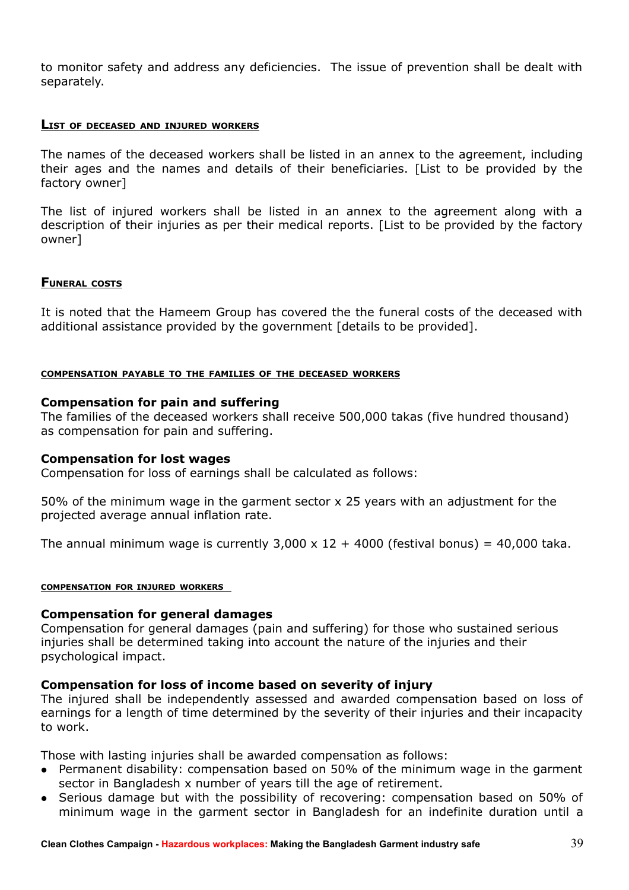to monitor safety and address any deficiencies. The issue of prevention shall be dealt with separately.

#### **LIST OF DECEASED AND INJURED WORKERS**

The names of the deceased workers shall be listed in an annex to the agreement, including their ages and the names and details of their beneficiaries. [List to be provided by the factory owner]

The list of injured workers shall be listed in an annex to the agreement along with a description of their injuries as per their medical reports. [List to be provided by the factory owner]

#### **FUNERAL COSTS**

It is noted that the Hameem Group has covered the the funeral costs of the deceased with additional assistance provided by the government [details to be provided].

#### **COMPENSATION PAYABLE TO THE FAMILIES OF THE DECEASED WORKERS**

#### **Compensation for pain and suffering**

The families of the deceased workers shall receive 500,000 takas (five hundred thousand) as compensation for pain and suffering.

#### **Compensation for lost wages**

Compensation for loss of earnings shall be calculated as follows:

50% of the minimum wage in the garment sector x 25 years with an adjustment for the projected average annual inflation rate.

The annual minimum wage is currently  $3,000 \times 12 + 4000$  (festival bonus) = 40,000 taka.

#### **COMPENSATION FOR INJURED WORKERS**

#### **Compensation for general damages**

Compensation for general damages (pain and suffering) for those who sustained serious injuries shall be determined taking into account the nature of the injuries and their psychological impact.

#### **Compensation for loss of income based on severity of injury**

The injured shall be independently assessed and awarded compensation based on loss of earnings for a length of time determined by the severity of their injuries and their incapacity to work.

Those with lasting injuries shall be awarded compensation as follows:

- Permanent disability: compensation based on 50% of the minimum wage in the garment sector in Bangladesh x number of years till the age of retirement.
- Serious damage but with the possibility of recovering: compensation based on 50% of minimum wage in the garment sector in Bangladesh for an indefinite duration until a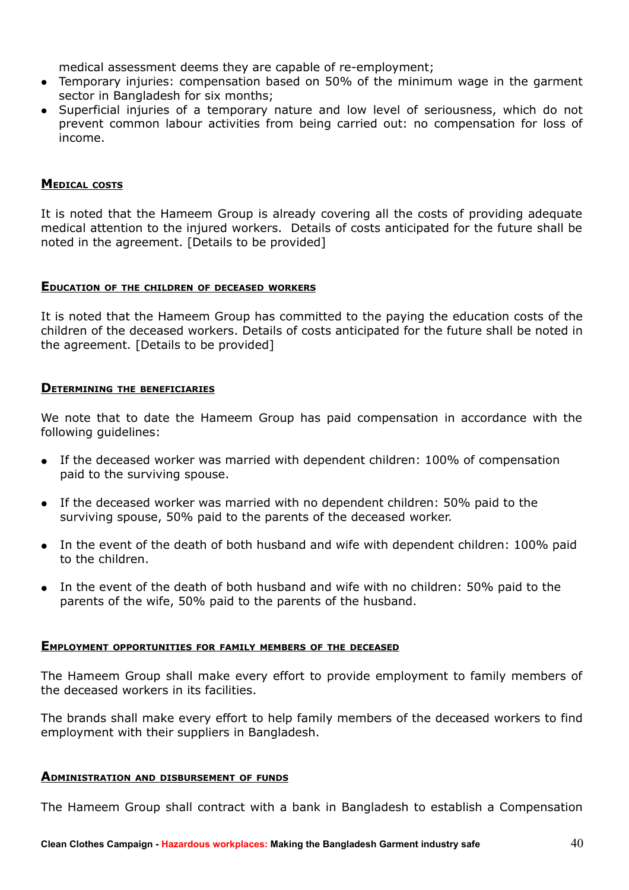medical assessment deems they are capable of re-employment;

- Temporary injuries: compensation based on 50% of the minimum wage in the garment sector in Bangladesh for six months;
- Superficial injuries of a temporary nature and low level of seriousness, which do not prevent common labour activities from being carried out: no compensation for loss of income.

#### **MEDICAL COSTS**

It is noted that the Hameem Group is already covering all the costs of providing adequate medical attention to the injured workers. Details of costs anticipated for the future shall be noted in the agreement. [Details to be provided]

#### **EDUCATION OF THE CHILDREN OF DECEASED WORKERS**

It is noted that the Hameem Group has committed to the paying the education costs of the children of the deceased workers. Details of costs anticipated for the future shall be noted in the agreement. [Details to be provided]

#### **DETERMINING THE BENEFICIARIES**

We note that to date the Hameem Group has paid compensation in accordance with the following guidelines:

- If the deceased worker was married with dependent children: 100% of compensation paid to the surviving spouse.
- If the deceased worker was married with no dependent children: 50% paid to the surviving spouse, 50% paid to the parents of the deceased worker.
- In the event of the death of both husband and wife with dependent children: 100% paid to the children.
- In the event of the death of both husband and wife with no children: 50% paid to the parents of the wife, 50% paid to the parents of the husband.

#### **EMPLOYMENT OPPORTUNITIES FOR FAMILY MEMBERS OF THE DECEASED**

The Hameem Group shall make every effort to provide employment to family members of the deceased workers in its facilities.

The brands shall make every effort to help family members of the deceased workers to find employment with their suppliers in Bangladesh.

#### **ADMINISTRATION AND DISBURSEMENT OF FUNDS**

The Hameem Group shall contract with a bank in Bangladesh to establish a Compensation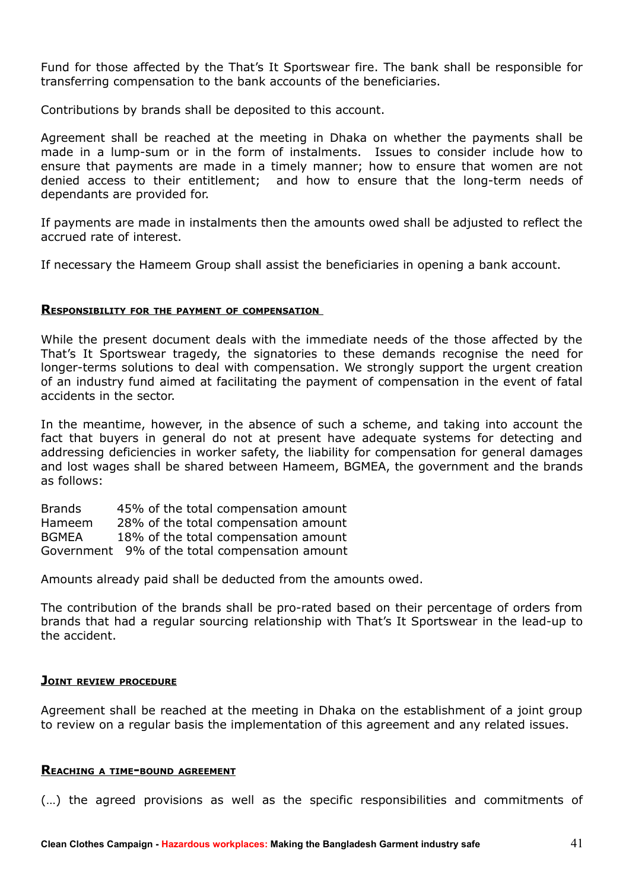Fund for those affected by the That's It Sportswear fire. The bank shall be responsible for transferring compensation to the bank accounts of the beneficiaries.

Contributions by brands shall be deposited to this account.

Agreement shall be reached at the meeting in Dhaka on whether the payments shall be made in a lump-sum or in the form of instalments. Issues to consider include how to ensure that payments are made in a timely manner; how to ensure that women are not denied access to their entitlement; and how to ensure that the long-term needs of dependants are provided for.

If payments are made in instalments then the amounts owed shall be adjusted to reflect the accrued rate of interest.

If necessary the Hameem Group shall assist the beneficiaries in opening a bank account.

#### **RESPONSIBILITY FOR THE PAYMENT OF COMPENSATION**

While the present document deals with the immediate needs of the those affected by the That's It Sportswear tragedy, the signatories to these demands recognise the need for longer-terms solutions to deal with compensation. We strongly support the urgent creation of an industry fund aimed at facilitating the payment of compensation in the event of fatal accidents in the sector.

In the meantime, however, in the absence of such a scheme, and taking into account the fact that buyers in general do not at present have adequate systems for detecting and addressing deficiencies in worker safety, the liability for compensation for general damages and lost wages shall be shared between Hameem, BGMEA, the government and the brands as follows:

Brands 45% of the total compensation amount Hameem 28% of the total compensation amount BGMEA 18% of the total compensation amount Government 9% of the total compensation amount

Amounts already paid shall be deducted from the amounts owed.

The contribution of the brands shall be pro-rated based on their percentage of orders from brands that had a regular sourcing relationship with That's It Sportswear in the lead-up to the accident.

#### **JOINT REVIEW PROCEDURE**

Agreement shall be reached at the meeting in Dhaka on the establishment of a joint group to review on a regular basis the implementation of this agreement and any related issues.

#### **REACHING <sup>A</sup> TIME-BOUND AGREEMENT**

(…) the agreed provisions as well as the specific responsibilities and commitments of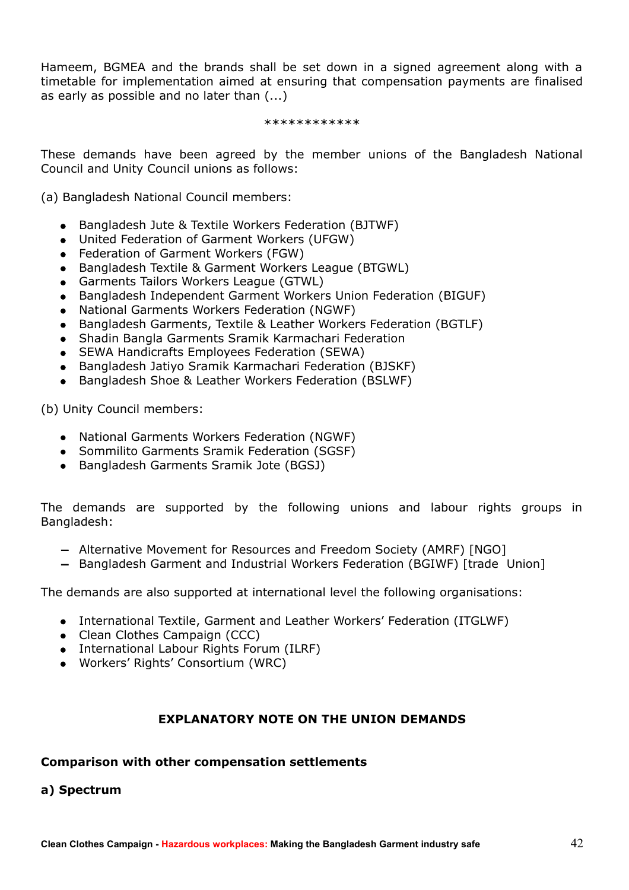Hameem, BGMEA and the brands shall be set down in a signed agreement along with a timetable for implementation aimed at ensuring that compensation payments are finalised as early as possible and no later than (...)

#### \*\*\*\*\*\*\*\*\*\*\*\*

These demands have been agreed by the member unions of the Bangladesh National Council and Unity Council unions as follows:

(a) Bangladesh National Council members:

- Bangladesh Jute & Textile Workers Federation (BJTWF)
- United Federation of Garment Workers (UFGW)
- Federation of Garment Workers (FGW)
- Bangladesh Textile & Garment Workers League (BTGWL)
- Garments Tailors Workers League (GTWL)
- Bangladesh Independent Garment Workers Union Federation (BIGUF)
- National Garments Workers Federation (NGWF)
- Bangladesh Garments, Textile & Leather Workers Federation (BGTLF)
- Shadin Bangla Garments Sramik Karmachari Federation
- SEWA Handicrafts Employees Federation (SEWA)
- Bangladesh Jatiyo Sramik Karmachari Federation (BJSKF)
- Bangladesh Shoe & Leather Workers Federation (BSLWF)

(b) Unity Council members:

- National Garments Workers Federation (NGWF)
- Sommilito Garments Sramik Federation (SGSF)
- Bangladesh Garments Sramik Jote (BGSJ)

The demands are supported by the following unions and labour rights groups in Bangladesh:

- − Alternative Movement for Resources and Freedom Society (AMRF) [NGO]
- − Bangladesh Garment and Industrial Workers Federation (BGIWF) [trade Union]

The demands are also supported at international level the following organisations:

- International Textile, Garment and Leather Workers' Federation (ITGLWF)
- Clean Clothes Campaign (CCC)
- International Labour Rights Forum (ILRF)
- Workers' Rights' Consortium (WRC)

#### **EXPLANATORY NOTE ON THE UNION DEMANDS**

#### **Comparison with other compensation settlements**

#### **a) Spectrum**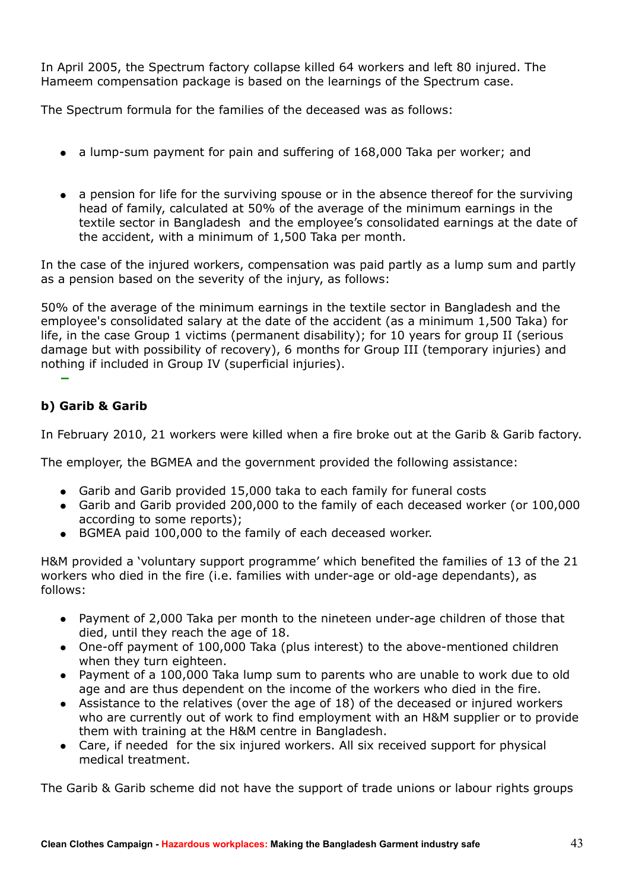In April 2005, the Spectrum factory collapse killed 64 workers and left 80 injured. The Hameem compensation package is based on the learnings of the Spectrum case.

The Spectrum formula for the families of the deceased was as follows:

- a lump-sum payment for pain and suffering of 168,000 Taka per worker; and
- a pension for life for the surviving spouse or in the absence thereof for the surviving head of family, calculated at 50% of the average of the minimum earnings in the textile sector in Bangladesh and the employee's consolidated earnings at the date of the accident, with a minimum of 1,500 Taka per month.

In the case of the injured workers, compensation was paid partly as a lump sum and partly as a pension based on the severity of the injury, as follows:

50% of the average of the minimum earnings in the textile sector in Bangladesh and the employee's consolidated salary at the date of the accident (as a minimum 1,500 Taka) for life, in the case Group 1 victims (permanent disability); for 10 years for group II (serious damage but with possibility of recovery), 6 months for Group III (temporary injuries) and nothing if included in Group IV (superficial injuries).

### **b) Garib & Garib**

−

In February 2010, 21 workers were killed when a fire broke out at the Garib & Garib factory.

The employer, the BGMEA and the government provided the following assistance:

- Garib and Garib provided 15,000 taka to each family for funeral costs
- Garib and Garib provided 200,000 to the family of each deceased worker (or 100,000 according to some reports);
- BGMEA paid 100,000 to the family of each deceased worker.

H&M provided a 'voluntary support programme' which benefited the families of 13 of the 21 workers who died in the fire (i.e. families with under-age or old-age dependants), as follows:

- Payment of 2,000 Taka per month to the nineteen under-age children of those that died, until they reach the age of 18.
- One-off payment of 100,000 Taka (plus interest) to the above-mentioned children when they turn eighteen.
- Payment of a 100,000 Taka lump sum to parents who are unable to work due to old age and are thus dependent on the income of the workers who died in the fire.
- Assistance to the relatives (over the age of 18) of the deceased or injured workers who are currently out of work to find employment with an H&M supplier or to provide them with training at the H&M centre in Bangladesh.
- Care, if needed for the six injured workers. All six received support for physical medical treatment.

The Garib & Garib scheme did not have the support of trade unions or labour rights groups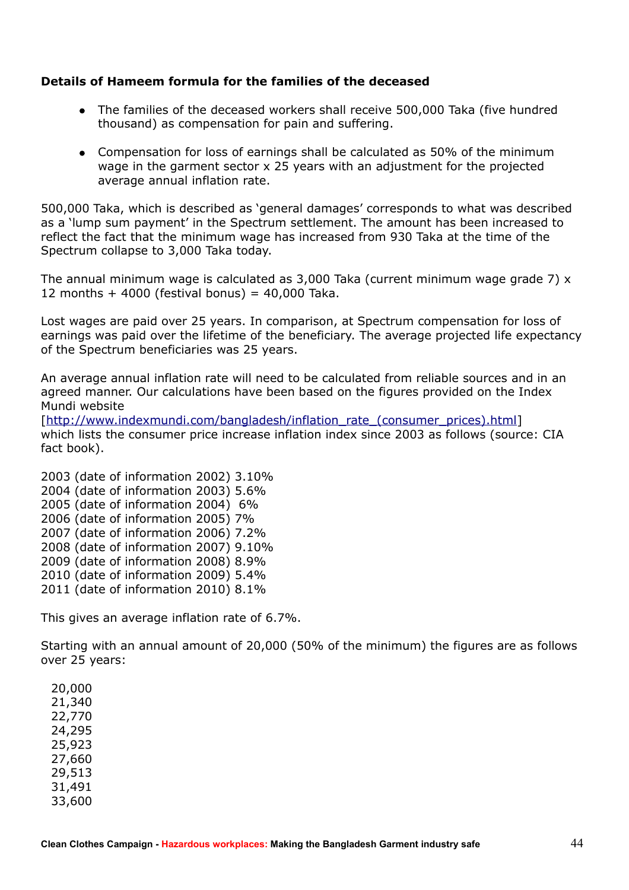#### **Details of Hameem formula for the families of the deceased**

- The families of the deceased workers shall receive 500,000 Taka (five hundred thousand) as compensation for pain and suffering.
- Compensation for loss of earnings shall be calculated as 50% of the minimum wage in the garment sector x 25 years with an adjustment for the projected average annual inflation rate.

500,000 Taka, which is described as 'general damages' corresponds to what was described as a 'lump sum payment' in the Spectrum settlement. The amount has been increased to reflect the fact that the minimum wage has increased from 930 Taka at the time of the Spectrum collapse to 3,000 Taka today.

The annual minimum wage is calculated as  $3.000$  Taka (current minimum wage grade 7)  $\times$ 12 months  $+$  4000 (festival bonus) = 40,000 Taka.

Lost wages are paid over 25 years. In comparison, at Spectrum compensation for loss of earnings was paid over the lifetime of the beneficiary. The average projected life expectancy of the Spectrum beneficiaries was 25 years.

An average annual inflation rate will need to be calculated from reliable sources and in an agreed manner. Our calculations have been based on the figures provided on the Index Mundi website

[\[http://www.indexmundi.com/bangladesh/inflation\\_rate\\_\(consumer\\_prices\).html\]](http://www.indexmundi.com/bangladesh/inflation_rate_(consumer_prices).html) which lists the consumer price increase inflation index since 2003 as follows (source: CIA fact book).

2003 (date of information 2002) 3.10% 2004 (date of information 2003) 5.6% 2005 (date of information 2004) 6% 2006 (date of information 2005) 7% 2007 (date of information 2006) 7.2% 2008 (date of information 2007) 9.10% 2009 (date of information 2008) 8.9% 2010 (date of information 2009) 5.4% 2011 (date of information 2010) 8.1%

This gives an average inflation rate of 6.7%.

Starting with an annual amount of 20,000 (50% of the minimum) the figures are as follows over 25 years:

20,000 21,340 22,770 24,295 25,923 27,660 29,513 31,491 33,600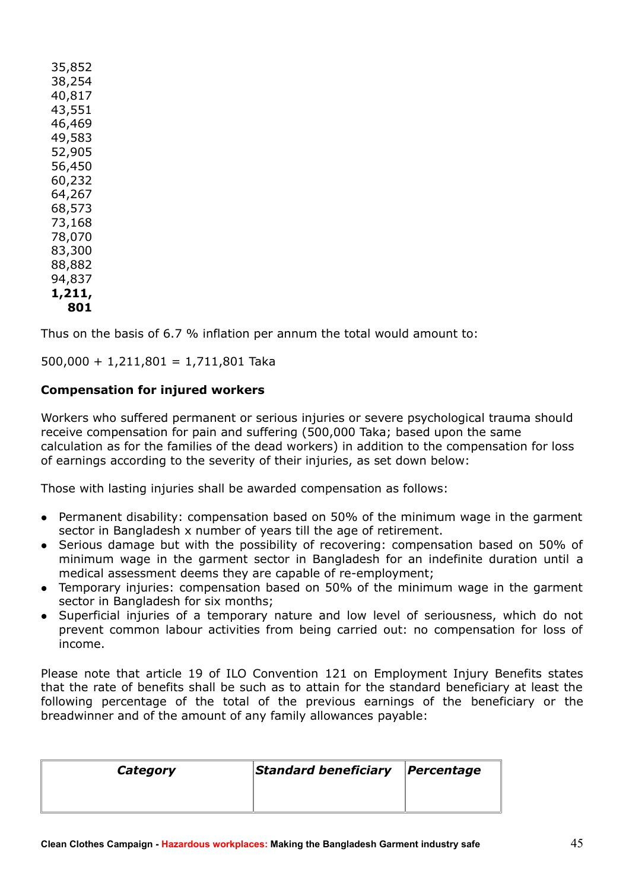|        | 35,852 |  |  |  |
|--------|--------|--|--|--|
|        | 38,254 |  |  |  |
|        | 40,817 |  |  |  |
|        | 43,551 |  |  |  |
|        | 46,469 |  |  |  |
|        | 49,583 |  |  |  |
|        | 52,905 |  |  |  |
|        | 56,450 |  |  |  |
|        | 60,232 |  |  |  |
|        | 64,267 |  |  |  |
|        | 68,573 |  |  |  |
|        |        |  |  |  |
|        | 73,168 |  |  |  |
|        | 78,070 |  |  |  |
|        | 83,300 |  |  |  |
|        | 88,882 |  |  |  |
|        | 94,837 |  |  |  |
| 1,211, |        |  |  |  |
| 801    |        |  |  |  |

Thus on the basis of 6.7 % inflation per annum the total would amount to:

 $500,000 + 1,211,801 = 1,711,801$  Taka

#### **Compensation for injured workers**

Workers who suffered permanent or serious injuries or severe psychological trauma should receive compensation for pain and suffering (500,000 Taka; based upon the same calculation as for the families of the dead workers) in addition to the compensation for loss of earnings according to the severity of their injuries, as set down below:

Those with lasting injuries shall be awarded compensation as follows:

- Permanent disability: compensation based on 50% of the minimum wage in the garment sector in Bangladesh x number of years till the age of retirement.
- Serious damage but with the possibility of recovering: compensation based on 50% of minimum wage in the garment sector in Bangladesh for an indefinite duration until a medical assessment deems they are capable of re-employment;
- Temporary injuries: compensation based on 50% of the minimum wage in the garment sector in Bangladesh for six months;
- Superficial injuries of a temporary nature and low level of seriousness, which do not prevent common labour activities from being carried out: no compensation for loss of income.

Please note that article 19 of ILO Convention 121 on Employment Injury Benefits states that the rate of benefits shall be such as to attain for the standard beneficiary at least the following percentage of the total of the previous earnings of the beneficiary or the breadwinner and of the amount of any family allowances payable:

| Category | Standard beneficiary Percentage |  |
|----------|---------------------------------|--|
|          |                                 |  |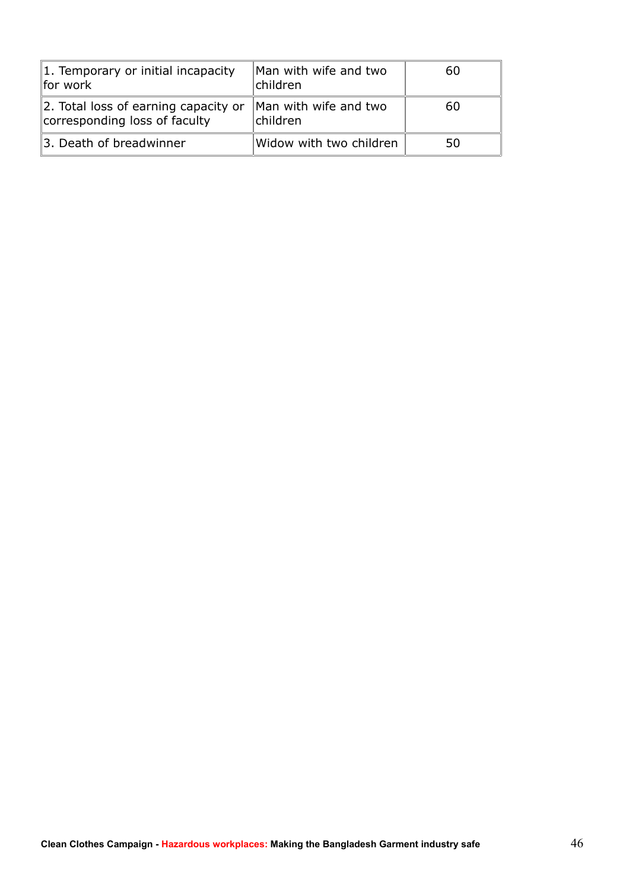| 1. Temporary or initial incapacity<br>for work                        | Man with wife and two<br>children | 60 |
|-----------------------------------------------------------------------|-----------------------------------|----|
| 2. Total loss of earning capacity or<br>corresponding loss of faculty | Man with wife and two<br>children | 60 |
| 3. Death of breadwinner                                               | Widow with two children           | 50 |